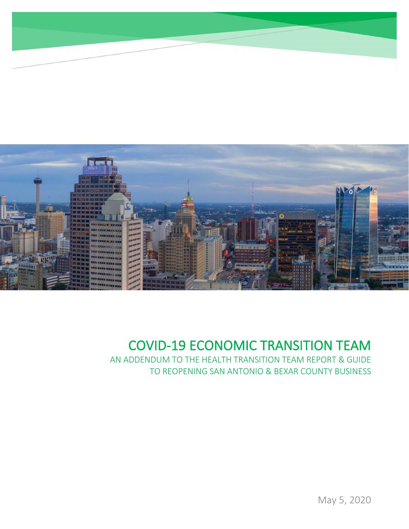

# COVID-19 ECONOMIC TRANSITION TEAM

AN ADDENDUM TO THE HEALTH TRANSITION TEAM REPORT & GUIDE TO REOPENING SAN ANTONIO & BEXAR COUNTY BUSINESS

May 5, 2020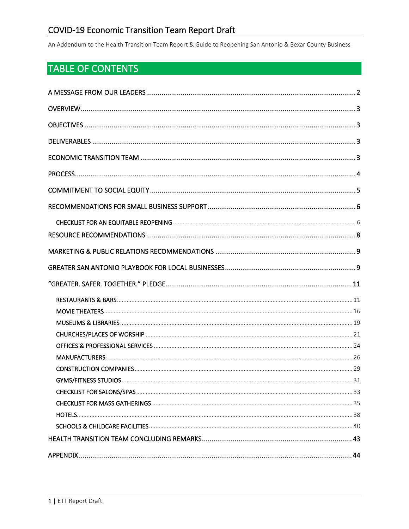An Addendum to the Health Transition Team Report & Guide to Reopening San Antonio & Bexar County Business

## TABLE OF CONTENTS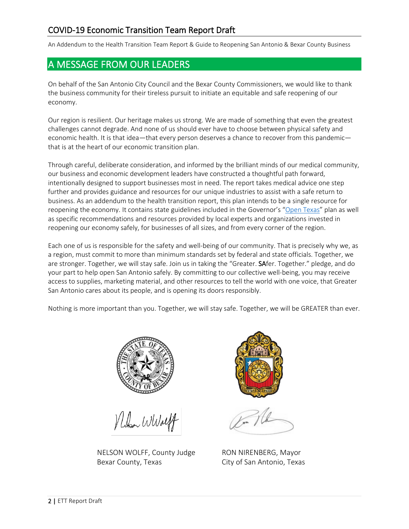An Addendum to the Health Transition Team Report & Guide to Reopening San Antonio & Bexar County Business

## <span id="page-2-0"></span>A MESSAGE FROM OUR LEADERS

On behalf of the San Antonio City Council and the Bexar County Commissioners, we would like to thank the business community for their tireless pursuit to initiate an equitable and safe reopening of our economy.

Our region is resilient. Our heritage makes us strong. We are made of something that even the greatest challenges cannot degrade. And none of us should ever have to choose between physical safety and economic health. It is that idea—that every person deserves a chance to recover from this pandemic that is at the heart of our economic transition plan.

Through careful, deliberate consideration, and informed by the brilliant minds of our medical community, our business and economic development leaders have constructed a thoughtful path forward, intentionally designed to support businesses most in need. The report takes medical advice one step further and provides guidance and resources for our unique industries to assist with a safe return to business. As an addendum to the health transition report, this plan intends to be a single resource for reopening the economy. It contains state guidelines included in the Governor's ["Open Texas"](https://gov.texas.gov/uploads/files/organization/opentexas/OpenTexas-Report.pdf) plan as well as specific recommendations and resources provided by local experts and organizations invested in reopening our economy safely, for businesses of all sizes, and from every corner of the region.

Each one of us is responsible for the safety and well-being of our community. That is precisely why we, as a region, must commit to more than minimum standards set by federal and state officials. Together, we are stronger. Together, we will stay safe. Join us in taking the "Greater. SAfer. Together." pledge, and do your part to help open San Antonio safely. By committing to our collective well-being, you may receive access to supplies, marketing material, and other resources to tell the world with one voice, that Greater San Antonio cares about its people, and is opening its doors responsibly.

Nothing is more important than you. Together, we will stay safe. Together, we will be GREATER than ever.



Nulson WWal

NELSON WOLFF, County Judge RON NIRENBERG, Mayor Bexar County, Texas City of San Antonio, Texas

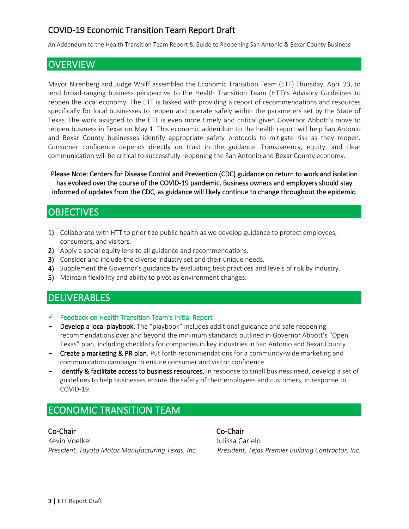An Addendum to the Health Transition Team Report & Guide to Reopening San Antonio & Bexar County Business

## <span id="page-3-0"></span>**OVERVIEW**

Mayor Nirenberg and Judge Wolff assembled the Economic Transition Team (ETT) Thursday, April 23, to lend broad-ranging business perspective to the Health Transition Team (HTT)'s Advisory Guidelines to reopen the local economy. The ETT is tasked with providing a report of recommendations and resources specifically for local businesses to reopen and operate safely within the parameters set by the State of Texas. The work assigned to the ETT is even more timely and critical given Governor Abbott's move to reopen business in Texas on May 1. This economic addendum to the health report will help San Antonio and Bexar County businesses identify appropriate safety protocols to mitigate risk as they reopen. Consumer confidence depends directly on trust in the guidance. Transparency, equity, and clear communication will be critical to successfully reopening the San Antonio and Bexar County economy.

Please Note: Centers for Disease Control and Prevention (CDC) guidance on return to work and isolation has evolved over the course of the COVID-19 pandemic. Business owners and employers should stay informed of updates from the CDC, as guidance will likely continue to change throughout the epidemic.

## <span id="page-3-1"></span>**OBJECTIVES**

- 1) Collaborate with HTT to prioritize public health as we develop guidance to protect employees, consumers, and visitors.
- 2) Apply a social equity lens to all guidance and recommendations.
- 3) Consider and include the diverse industry set and their unique needs.
- 4) Supplement the Governor's guidance by evaluating best practices and levels of risk by industry.
- 5) Maintain flexibility and ability to pivot as environment changes.

### <span id="page-3-2"></span>**DELIVERABLES**

- $\checkmark$  Feedback on Health Transition Team's Initial Report
- **-** Develop a local playbook. The "playbook" includes additional guidance and safe reopening recommendations over and beyond the minimum standards outlined in Governor Abbott's "Open Texas" plan, including checklists for companies in key industries in San Antonio and Bexar County.
- **-** Create a marketing & PR plan. Put forth recommendations for a community-wide marketing and communication campaign to ensure consumer and visitor confidence.
- **-** Identify & facilitate access to business resources. In response to small business need, develop a set of guidelines to help businesses ensure the safety of their employees and customers, in response to COVID-19.

## <span id="page-3-3"></span>ECONOMIC TRANSITION TEAM

#### Co-Chair Co-Chair

Kevin Voelkel **Voelkel** Julissa Carielo *President, Toyota Motor Manufacturing Texas, Inc. President, Tejas Premier Building Contractor, Inc.*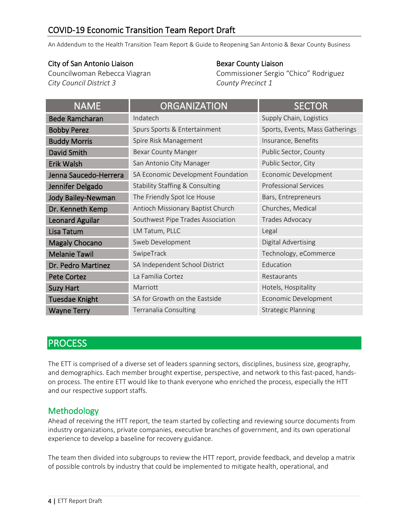An Addendum to the Health Transition Team Report & Guide to Reopening San Antonio & Bexar County Business

#### City of San Antonio Liaison **Bexar County Liaison**

*City Council District 3 County Precinct 1*

Councilwoman Rebecca Viagran Commissioner Sergio "Chico" Rodriguez

| <b>NAME</b>            | <b>ORGANIZATION</b>                        | <b>SECTOR</b>                   |
|------------------------|--------------------------------------------|---------------------------------|
| <b>Bede Ramcharan</b>  | Indatech                                   | Supply Chain, Logistics         |
| <b>Bobby Perez</b>     | Spurs Sports & Entertainment               | Sports, Events, Mass Gatherings |
| <b>Buddy Morris</b>    | Spire Risk Management                      | Insurance, Benefits             |
| <b>David Smith</b>     | Bexar County Manger                        | Public Sector, County           |
| Erik Walsh             | San Antonio City Manager                   | Public Sector, City             |
| Jenna Saucedo-Herrera  | SA Economic Development Foundation         | Economic Development            |
| Jennifer Delgado       | <b>Stability Staffing &amp; Consulting</b> | <b>Professional Services</b>    |
| Jody Bailey-Newman     | The Friendly Spot Ice House                | Bars, Entrepreneurs             |
| Dr. Kenneth Kemp       | Antioch Missionary Baptist Church          | Churches, Medical               |
| <b>Leonard Aguilar</b> | Southwest Pipe Trades Association          | <b>Trades Advocacy</b>          |
| Lisa Tatum             | LM Tatum, PLLC                             | Legal                           |
| Magaly Chocano         | Sweb Development                           | Digital Advertising             |
| <b>Melanie Tawil</b>   | SwipeTrack                                 | Technology, eCommerce           |
| Dr. Pedro Martinez     | SA Independent School District             | Education                       |
| <b>Pete Cortez</b>     | La Familia Cortez                          | Restaurants                     |
| <b>Suzy Hart</b>       | Marriott                                   | Hotels, Hospitality             |
| <b>Tuesdae Knight</b>  | SA for Growth on the Eastside              | Economic Development            |
| <b>Wayne Terry</b>     | Terranalia Consulting                      | <b>Strategic Planning</b>       |

### <span id="page-4-0"></span>**PROCESS**

The ETT is comprised of a diverse set of leaders spanning sectors, disciplines, business size, geography, and demographics. Each member brought expertise, perspective, and network to this fast-paced, handson process. The entire ETT would like to thank everyone who enriched the process, especially the HTT and our respective support staffs.

#### Methodology

Ahead of receiving the HTT report, the team started by collecting and reviewing source documents from industry organizations, private companies, executive branches of government, and its own operational experience to develop a baseline for recovery guidance.

The team then divided into subgroups to review the HTT report, provide feedback, and develop a matrix of possible controls by industry that could be implemented to mitigate health, operational, and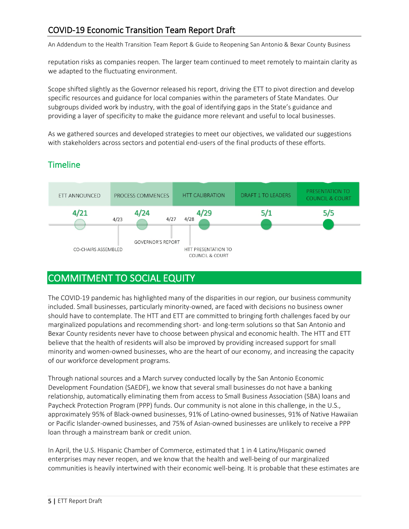An Addendum to the Health Transition Team Report & Guide to Reopening San Antonio & Bexar County Business

reputation risks as companies reopen. The larger team continued to meet remotely to maintain clarity as we adapted to the fluctuating environment.

Scope shifted slightly as the Governor released his report, driving the ETT to pivot direction and develop specific resources and guidance for local companies within the parameters of State Mandates. Our subgroups divided work by industry, with the goal of identifying gaps in the State's guidance and providing a layer of specificity to make the guidance more relevant and useful to local businesses.

As we gathered sources and developed strategies to meet our objectives, we validated our suggestions with stakeholders across sectors and potential end-users of the final products of these efforts.

## **Timeline**



## <span id="page-5-0"></span>COMMITMENT TO SOCIAL EQUITY

The COVID-19 pandemic has highlighted many of the disparities in our region, our business community included. Small businesses, particularly minority-owned, are faced with decisions no business owner should have to contemplate. The HTT and ETT are committed to bringing forth challenges faced by our marginalized populations and recommending short- and long-term solutions so that San Antonio and Bexar County residents never have to choose between physical and economic health. The HTT and ETT believe that the health of residents will also be improved by providing increased support for small minority and women-owned businesses, who are the heart of our economy, and increasing the capacity of our workforce development programs.

Through national sources and a March survey conducted locally by the San Antonio Economic Development Foundation (SAEDF), we know that several small businesses do not have a banking relationship, automatically eliminating them from access to Small Business Association (SBA) loans and Paycheck Protection Program (PPP) funds. Our community is not alone in this challenge, in the U.S., approximately 95% of Black-owned businesses, 91% of Latino-owned businesses, 91% of Native Hawaiian or Pacific Islander-owned businesses, and 75% of Asian-owned businesses are unlikely to receive a PPP loan through a mainstream bank or credit union.

In April, the U.S. Hispanic Chamber of Commerce, estimated that 1 in 4 Latinx/Hispanic owned enterprises may never reopen, and we know that the health and well-being of our marginalized communities is heavily intertwined with their economic well-being. It is probable that these estimates are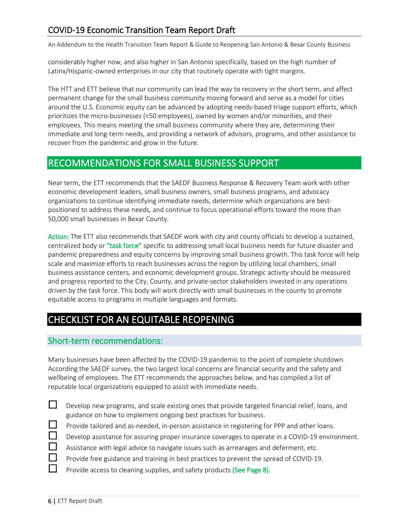An Addendum to the Health Transition Team Report & Guide to Reopening San Antonio & Bexar County Business

considerably higher now, and also higher in San Antonio specifically, based on the high number of Latinx/Hispanic-owned enterprises in our city that routinely operate with tight margins.

The HTT and ETT believe that our community can lead the way to recovery in the short term, and affect permanent change for the small business community moving forward and serve as a model for cities around the U.S. Economic equity can be advanced by adopting needs-based triage support efforts, which prioritizes the micro-businesses (<50 employees), owned by women and/or minorities, and their employees. This means meeting the small business community where they are, determining their immediate and long-term needs, and providing a network of advisors, programs, and other assistance to recover from the pandemic and grow in the future.

## <span id="page-6-0"></span>RECOMMENDATIONS FOR SMALL BUSINESS SUPPORT

Near term, the ETT recommends that the SAEDF Business Response & Recovery Team work with other economic development leaders, small business owners, small business programs, and advocacy organizations to continue identifying immediate needs, determine which organizations are bestpositioned to address these needs, and continue to focus operational efforts toward the more than 50,000 small businesses in Bexar County.

Action: The ETT also recommends that SAEDF work with city and county officials to develop a sustained, centralized body or "task force" specific to addressing small local business needs for future disaster and pandemic preparedness and equity concerns by improving small business growth. This task force will help scale and maximize efforts to reach businesses across the region by utilizing local chambers, small business assistance centers, and economic development groups. Strategic activity should be measured and progress reported to the City, County, and private-sector stakeholders invested in any operations driven by the task force. This body will work directly with small businesses in the county to promote equitable access to programs in multiple languages and formats.

## <span id="page-6-1"></span>CHECKLIST FOR AN EQUITABLE REOPENING

#### Short-term recommendations:

Many businesses have been affected by the COVID-19 pandemic to the point of complete shutdown. According the SAEDF survey, the two largest local concerns are financial security and the safety and wellbeing of employees. The ETT recommends the approaches below, and has compiled a list of reputable local organizations equipped to assist with immediate needs.

- 
- $\Box$  Develop new programs, and scale existing ones that provide targeted financial relief, loans, and guidance on how to implement ongoing best practices for business.
- $\Box$  Provide tailored and as-needed, in-person assistance in registering for PPP and other loans.
	- Develop assistance for assuring proper insurance coverages to operate in a COVID-19 environment.
	- Assistance with legal advice to navigate issues such as arrearages and deferment, etc.
	- Provide free guidance and training in best practices to prevent the spread of COVID-19.
	- Provide access to cleaning supplies, and safety products (See Page 8).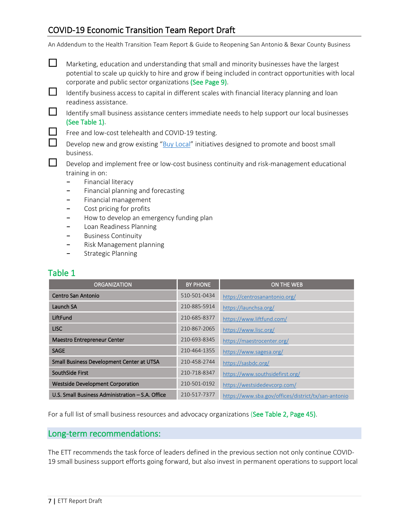An Addendum to the Health Transition Team Report & Guide to Reopening San Antonio & Bexar County Business

- $\Box$  Marketing, education and understanding that small and minority businesses have the largest potential to scale up quickly to hire and grow if being included in contract opportunities with local corporate and public sector organizations (See Page 9).  $\Box$  Identify business access to capital in different scales with financial literacy planning and loan readiness assistance.  $\Box$  Identify small business assistance centers immediate needs to help support our local businesses (See Table 1). Free and low-cost telehealth and COVID-19 testing. Develop new and grow existing ["Buy Local"](https://maestrocenter.org/buy-local-grow-sa-overview/) initiatives designed to promote and boost small business.  $\square$  Develop and implement free or low-cost business continuity and risk-management educational training in on: **-** Financial literacy **-** Financial planning and forecasting **-** Financial management **-** Cost pricing for profits **-** How to develop an emergency funding plan
	- **-** Loan Readiness Planning
	- **-** Business Continuity
	- **-** Risk Management planning
	- **-** Strategic Planning

#### Table 1

| <b>ORGANIZATION</b>                              | <b>BY PHONE</b> | <b>ON THE WEB</b>                                   |
|--------------------------------------------------|-----------------|-----------------------------------------------------|
| <b>Centro San Antonio</b>                        | 510-501-0434    | https://centrosanantonio.org/                       |
| Launch SA                                        | 210-885-5914    | https://launchsa.org/                               |
| <b>LiftFund</b>                                  | 210-685-8377    | https://www.liftfund.com/                           |
| <b>LISC</b>                                      | 210-867-2065    | https://www.lisc.org/                               |
| <b>Maestro Entrepreneur Center</b>               | 210-693-8345    | https://maestrocenter.org/                          |
| <b>SAGE</b>                                      | 210-464-1355    | https://www.sagesa.org/                             |
| Small Business Development Center at UTSA        | 210-458-2744    | https://sasbdc.org/                                 |
| <b>SouthSide First</b>                           | 210-718-8347    | https://www.southsidefirst.org/                     |
| <b>Westside Development Corporation</b>          | 210-501-0192    | https://westsidedevcorp.com/                        |
| U.S. Small Business Administration - S.A. Office | 210-517-7377    | https://www.sba.gov/offices/district/tx/san-antonio |

For a full list of small business resources and advocacy organizations (See Table 2, Page 45).

#### Long-term recommendations:

The ETT recommends the task force of leaders defined in the previous section not only continue COVID-19 small business support efforts going forward, but also invest in permanent operations to support local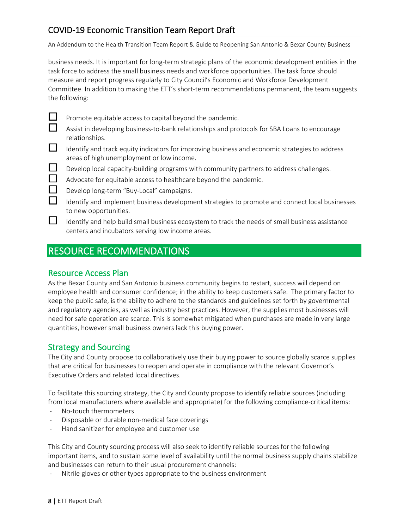An Addendum to the Health Transition Team Report & Guide to Reopening San Antonio & Bexar County Business

business needs. It is important for long-term strategic plans of the economic development entities in the task force to address the small business needs and workforce opportunities. The task force should measure and report progress regularly to City Council's Economic and Workforce Development Committee. In addition to making the ETT's short-term recommendations permanent, the team suggests the following:



- $\Box$  Promote equitable access to capital beyond the pandemic.
- $\Box$  Assist in developing business-to-bank relationships and protocols for SBA Loans to encourage relationships.
- $\Box$  Identify and track equity indicators for improving business and economic strategies to address areas of high unemployment or low income.
- $\Box$  Develop local capacity-building programs with community partners to address challenges.
- $\Box$  Advocate for equitable access to healthcare beyond the pandemic.
- Develop long-term "Buy-Local" campaigns.
	- Identify and implement business development strategies to promote and connect local businesses to new opportunities.
- $\Box$  Identify and help build small business ecosystem to track the needs of small business assistance centers and incubators serving low income areas.

## <span id="page-8-0"></span>RESOURCE RECOMMENDATIONS

#### Resource Access Plan

As the Bexar County and San Antonio business community begins to restart, success will depend on employee health and consumer confidence; in the ability to keep customers safe. The primary factor to keep the public safe, is the ability to adhere to the standards and guidelines set forth by governmental and regulatory agencies, as well as industry best practices. However, the supplies most businesses will need for safe operation are scarce. This is somewhat mitigated when purchases are made in very large quantities, however small business owners lack this buying power.

#### Strategy and Sourcing

The City and County propose to collaboratively use their buying power to source globally scarce supplies that are critical for businesses to reopen and operate in compliance with the relevant Governor's Executive Orders and related local directives.

To facilitate this sourcing strategy, the City and County propose to identify reliable sources (including from local manufacturers where available and appropriate) for the following compliance-critical items:

- No-touch thermometers
- Disposable or durable non-medical face coverings
- Hand sanitizer for employee and customer use

This City and County sourcing process will also seek to identify reliable sources for the following important items, and to sustain some level of availability until the normal business supply chains stabilize and businesses can return to their usual procurement channels:

Nitrile gloves or other types appropriate to the business environment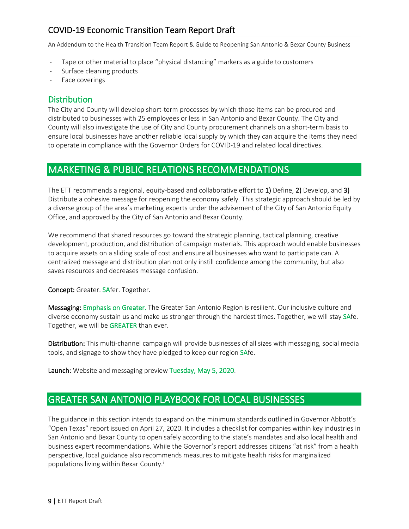An Addendum to the Health Transition Team Report & Guide to Reopening San Antonio & Bexar County Business

- Tape or other material to place "physical distancing" markers as a guide to customers
- Surface cleaning products
- Face coverings

#### **Distribution**

The City and County will develop short-term processes by which those items can be procured and distributed to businesses with 25 employees or less in San Antonio and Bexar County. The City and County will also investigate the use of City and County procurement channels on a short-term basis to ensure local businesses have another reliable local supply by which they can acquire the items they need to operate in compliance with the Governor Orders for COVID-19 and related local directives.

#### <span id="page-9-0"></span>MARKETING & PUBLIC RELATIONS RECOMMENDATIONS

The ETT recommends a regional, equity-based and collaborative effort to 1) Define, 2) Develop, and 3) Distribute a cohesive message for reopening the economy safely. This strategic approach should be led by a diverse group of the area's marketing experts under the advisement of the City of San Antonio Equity Office, and approved by the City of San Antonio and Bexar County.

We recommend that shared resources go toward the strategic planning, tactical planning, creative development, production, and distribution of campaign materials. This approach would enable businesses to acquire assets on a sliding scale of cost and ensure all businesses who want to participate can. A centralized message and distribution plan not only instill confidence among the community, but also saves resources and decreases message confusion.

Concept: Greater. SAfer. Together.

Messaging: Emphasis on Greater. The Greater San Antonio Region is resilient. Our inclusive culture and diverse economy sustain us and make us stronger through the hardest times. Together, we will stay SAfe. Together, we will be GREATER than ever.

Distribution: This multi-channel campaign will provide businesses of all sizes with messaging, social media tools, and signage to show they have pledged to keep our region SAfe.

Launch: Website and messaging preview Tuesday, May 5, 2020.

## <span id="page-9-1"></span>GREATER SAN ANTONIO PLAYBOOK FOR LOCAL BUSINESSES

The guidance in this section intends to expand on the minimum standards outlined in Governor Abbott's "Open Texas" report issued on April 27, 2020. It includes a checklist for companies within key industries in San Antonio and Bexar County to open safely according to the state's mandates and also local health and business expert recommendations. While the Governor's report addresses citizens "at risk" from a health perspective, local guidance also recommends measures to mitigate health risks for marginalized populat[i](#page-44-1)ons living within Bexar County.<sup>i</sup>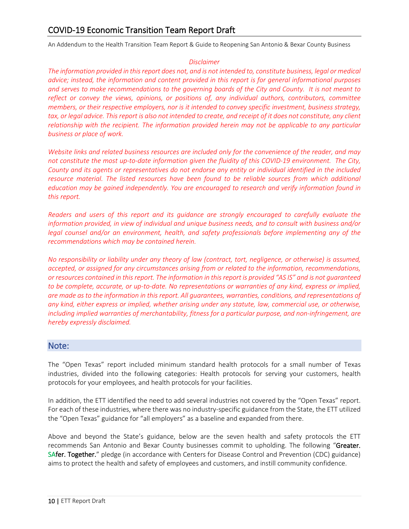An Addendum to the Health Transition Team Report & Guide to Reopening San Antonio & Bexar County Business

#### *Disclaimer*

*The information provided in this report does not, and is not intended to, constitute business, legal or medical advice; instead, the information and content provided in this report is for general informational purposes and serves to make recommendations to the governing boards of the City and County. It is not meant to reflect or convey the views, opinions, or positions of, any individual authors, contributors, committee members, or their respective employers, nor is it intended to convey specific investment, business strategy,*  tax, or legal advice. This report is also not intended to create, and receipt of it does not constitute, any client *relationship with the recipient. The information provided herein may not be applicable to any particular business or place of work.* 

*Website links and related business resources are included only for the convenience of the reader, and may not constitute the most up-to-date information given the fluidity of this COVID-19 environment. The City, County and its agents or representatives do not endorse any entity or individual identified in the included*  resource material. The listed resources have been found to be reliable sources from which additional *education may be gained independently. You are encouraged to research and verify information found in this report.*

*Readers and users of this report and its guidance are strongly encouraged to carefully evaluate the information provided, in view of individual and unique business needs, and to consult with business and/or legal counsel and/or an environment, health, and safety professionals before implementing any of the recommendations which may be contained herein.* 

*No responsibility or liability under any theory of law (contract, tort, negligence, or otherwise) is assumed, accepted, or assigned for any circumstances arising from or related to the information, recommendations, or resources contained in this report. The information in this report is provided "AS IS" and is not guaranteed to be complete, accurate, or up-to-date. No representations or warranties of any kind, express or implied, are made as to the information in this report. All guarantees, warranties, conditions, and representations of any kind, either express or implied, whether arising under any statute, law, commercial use, or otherwise, including implied warranties of merchantability, fitness for a particular purpose, and non-infringement, are hereby expressly disclaimed.* 

#### Note:

The "Open Texas" report included minimum standard health protocols for a small number of Texas industries, divided into the following categories: Health protocols for serving your customers, health protocols for your employees, and health protocols for your facilities.

In addition, the ETT identified the need to add several industries not covered by the "Open Texas" report. For each of these industries, where there was no industry-specific guidance from the State, the ETT utilized the "Open Texas" guidance for "all employers" as a baseline and expanded from there.

Above and beyond the State's guidance, below are the seven health and safety protocols the ETT recommends San Antonio and Bexar County businesses commit to upholding. The following "Greater. SAfer. Together." pledge (in accordance with Centers for Disease Control and Prevention (CDC) guidance) aims to protect the health and safety of employees and customers, and instill community confidence.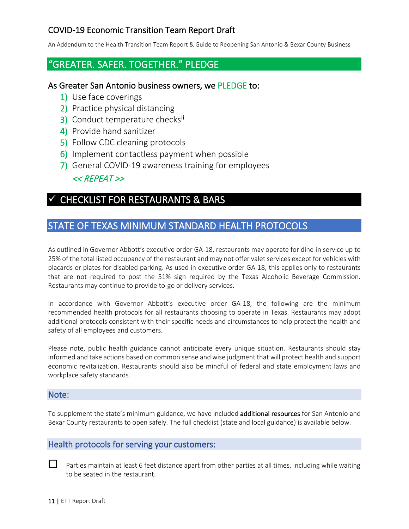An Addendum to the Health Transition Team Report & Guide to Reopening San Antonio & Bexar County Business

## <span id="page-11-0"></span>"GREATER. SAFER. TOGETHER." PLEDGE

#### As Greater San Antonio business owners, we PLEDGE to:

- 1) Use face coverings
- 2) Practice physical distancing
- 3) Conduct temperature checks[ii](#page-44-2)
- 4) Provide hand sanitizer
- 5) Follow CDC cleaning protocols
- 6) Implement contactless payment when possible
- 7) General COVID-19 awareness training for employees

#### << REPEAT >>

## <span id="page-11-1"></span>CHECKLIST FOR RESTAURANTS & BARS

### STATE OF TEXAS MINIMUM STANDARD HEALTH PROTOCOLS

As outlined in Governor Abbott's executive order GA-18, restaurants may operate for dine-in service up to 25% of the total listed occupancy of the restaurant and may not offer valet services except for vehicles with placards or plates for disabled parking. As used in executive order GA-18, this applies only to restaurants that are not required to post the 51% sign required by the Texas Alcoholic Beverage Commission. Restaurants may continue to provide to-go or delivery services.

In accordance with Governor Abbott's executive order GA-18, the following are the minimum recommended health protocols for all restaurants choosing to operate in Texas. Restaurants may adopt additional protocols consistent with their specific needs and circumstances to help protect the health and safety of all employees and customers.

Please note, public health guidance cannot anticipate every unique situation. Restaurants should stay informed and take actions based on common sense and wise judgment that will protect health and support economic revitalization. Restaurants should also be mindful of federal and state employment laws and workplace safety standards.

#### Note:

To supplement the state's minimum guidance, we have included additional resources for San Antonio and Bexar County restaurants to open safely. The full checklist (state and local guidance) is available below.

#### Health protocols for serving your customers:

 $\Box$  Parties maintain at least 6 feet distance apart from other parties at all times, including while waiting to be seated in the restaurant.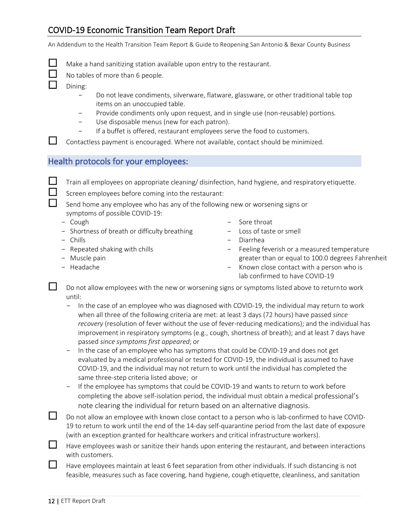An Addendum to the Health Transition Team Report & Guide to Reopening San Antonio & Bexar County Business

Make a hand sanitizing station available upon entry to the restaurant.

No tables of more than 6 people.

 $\Box$  Dining:

- Do not leave condiments, silverware, flatware, glassware, or other traditional table top items on an unoccupied table.
- Provide condiments only upon request, and in single use (non-reusable) portions.
- Use disposable menus (new for each patron).
- If a buffet is offered, restaurant employees serve the food to customers.

 $\Box$  Contactless payment is encouraged. Where not available, contact should be minimized.

#### Health protocols for your employees:

Train all employees on appropriate cleaning/ disinfection, hand hygiene, and respiratory etiquette.

Screen employees before coming into the restaurant:

 Send home any employee who has any of the following new or worsening signs or symptoms of possible COVID-19:

- Cough
- Shortness of breath or difficulty breathing
- Chills
- Repeated shaking with chills
- Muscle pain
- Headache
- Sore throat
- Loss of taste or smell
- Diarrhea
- Feeling feverish or a measured temperature greater than or equal to 100.0 degrees Fahrenheit
- Known close contact with a person who is lab confirmed to have COVID-19

 $\Box$  Do not allow employees with the new or worsening signs or symptoms listed above to returnto work until:

- In the case of an employee who was diagnosed with COVID-19, the individual may return to work when all three of the following criteria are met: at least 3 days (72 hours) have passed *since recovery* (resolution of fever without the use of fever-reducing medications); and the individual has improvement in respiratory symptoms (e.g., cough, shortness of breath); and at least 7 days have passed *since symptoms first appeared*; or
- In the case of an employee who has symptoms that could be COVID-19 and does not get evaluated by a medical professional or tested for COVID-19, the individual is assumed to have COVID-19, and the individual may not return to work until the individual has completed the same three-step criteria listed above; or
- If the employee has symptoms that could be COVID-19 and wants to return to work before completing the above self-isolation period, the individual must obtain a medical professional's note clearing the individual for return based on an alternative diagnosis.

 $\Box$  Do not allow an employee with known close contact to a person who is lab-confirmed to have COVID-19 to return to work until the end of the 14-day self-quarantine period from the last date of exposure (with an exception granted for healthcare workers and critical infrastructure workers).

 $\Box$  Have employees wash or sanitize their hands upon entering the restaurant, and between interactions with customers.

Have employees maintain at least 6 feet separation from other individuals. If such distancing is not feasible, measures such as face covering, hand hygiene, cough etiquette, cleanliness, and sanitation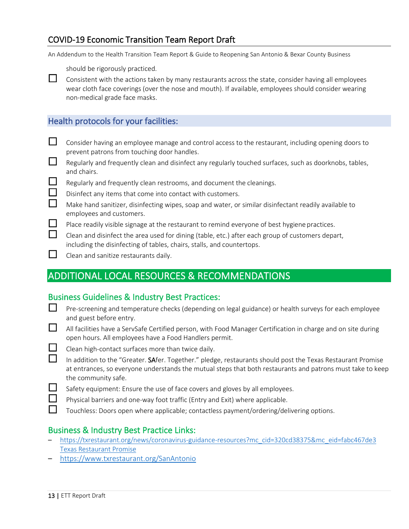An Addendum to the Health Transition Team Report & Guide to Reopening San Antonio & Bexar County Business

should be rigorously practiced.

 $\Box$  Consistent with the actions taken by many restaurants across the state, consider having all employees wear cloth face coverings (over the nose and mouth). If available, employees should consider wearing non-medical grade face masks.

#### Health protocols for your facilities:

- $\Box$  Consider having an employee manage and control access to the restaurant, including opening doors to prevent patrons from touching door handles.
- $\Box$  Regularly and frequently clean and disinfect any regularly touched surfaces, such as doorknobs, tables, and chairs.
- $\Box$  Regularly and frequently clean restrooms, and document the cleanings.
	- Disinfect any items that come into contact with customers.
	- Make hand sanitizer, disinfecting wipes, soap and water, or similar disinfectant readily available to employees and customers.
- $\Box$  Place readily visible signage at the restaurant to remind everyone of best hygiene practices.
	- Clean and disinfect the area used for dining (table, etc.) after each group of customers depart, including the disinfecting of tables, chairs, stalls, and countertops.
- $\Box$  Clean and sanitize restaurants daily.

### ADDITIONAL LOCAL RESOURCES & RECOMMENDATIONS

#### Business Guidelines & Industry Best Practices:

- $\Box$  Pre-screening and temperature checks (depending on legal guidance) or health surveys for each employee and guest before entry.
- $\Box$  All facilities have a ServSafe Certified person, with Food Manager Certification in charge and on site during open hours. All employees have a Food Handlers permit.
- $\Box$  Clean high-contact surfaces more than twice daily.
	- In addition to the "Greater. SAfer. Together." pledge, restaurants should post the Texas Restaurant Promise at entrances, so everyone understands the mutual steps that both restaurants and patrons must take to keep the community safe.
- Safety equipment: Ensure the use of face covers and gloves by all employees.
	- Physical barriers and one-way foot traffic (Entry and Exit) where applicable.
	- Touchless: Doors open where applicable; contactless payment/ordering/delivering options.

#### Business & Industry Best Practice Links:

- [https://txrestaurant.org/news/coronavirus-guidance-resources?mc\\_cid=320cd38375&mc\\_eid=fabc467de3](https://urldefense.proofpoint.com/v2/url?u=https-3A__txrestaurant.org_news_coronavirus-2Dguidance-2Dresources-3Fmc-5Fcid-3D320cd38375-26mc-5Feid-3Dfabc467de3&d=DwMFAg&c=DDPRwrN9uYSNUDpKqPeD1g&r=4BbO_OeFo4Ssx5HHOCM6TZNSYrQFSbxNoRriW7aEeNE&m=nLtnEJ-Ft2DAD4kay_c4JM3E_HRyIpT6pnvQvShwDVI&s=hWHo-yx9I0B_6SBfDAZ1qiphlH1nhARPhRvh2UQjji0&e=) [Texas Restaurant Promise](https://www.txrestaurant.org/texas-restaurant-promise)
- <https://www.txrestaurant.org/SanAntonio>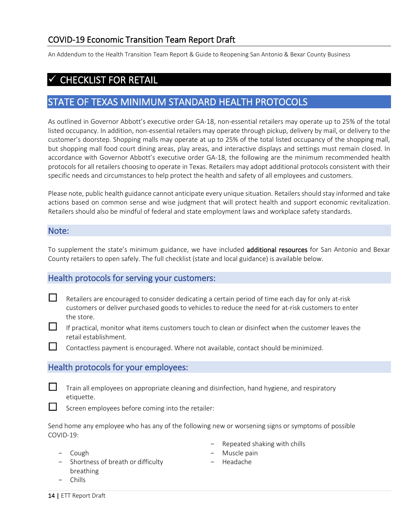An Addendum to the Health Transition Team Report & Guide to Reopening San Antonio & Bexar County Business

## CHECKLIST FOR RETAIL

## STATE OF TEXAS MINIMUM STANDARD HEALTH PROTOCOLS

As outlined in Governor Abbott's executive order GA-18, non-essential retailers may operate up to 25% of the total listed occupancy. In addition, non-essential retailers may operate through pickup, delivery by mail, or delivery to the customer's doorstep. Shopping malls may operate at up to 25% of the total listed occupancy of the shopping mall, but shopping mall food court dining areas, play areas, and interactive displays and settings must remain closed. In accordance with Governor Abbott's executive order GA-18, the following are the minimum recommended health protocols for all retailers choosing to operate in Texas. Retailers may adopt additional protocols consistent with their specific needs and circumstances to help protect the health and safety of all employees and customers.

Please note, public health guidance cannot anticipate every unique situation. Retailers should stay informed and take actions based on common sense and wise judgment that will protect health and support economic revitalization. Retailers should also be mindful of federal and state employment laws and workplace safety standards.

#### Note:

To supplement the state's minimum guidance, we have included additional resources for San Antonio and Bexar County retailers to open safely. The full checklist (state and local guidance) is available below.

#### Health protocols for serving your customers:

- $\Box$  Retailers are encouraged to consider dedicating a certain period of time each day for only at-risk customers or deliver purchased goods to vehicles to reduce the need for at-risk customers to enter the store.
- $\Box$  If practical, monitor what items customers touch to clean or disinfect when the customer leaves the retail establishment.

 $\Box$  Contactless payment is encouraged. Where not available, contact should be minimized.

#### Health protocols for your employees:

 $\Box$  Train all employees on appropriate cleaning and disinfection, hand hygiene, and respiratory etiquette.

Screen employees before coming into the retailer:

Send home any employee who has any of the following new or worsening signs or symptoms of possible COVID-19:

- Cough
- Shortness of breath or difficulty breathing
- Chills
- Repeated shaking with chills
- Muscle pain
- Headache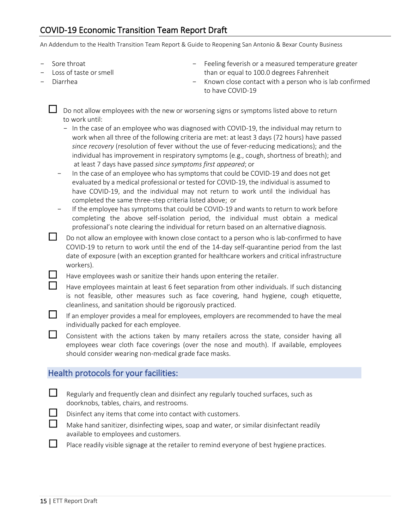An Addendum to the Health Transition Team Report & Guide to Reopening San Antonio & Bexar County Business

- Sore throat
- Loss of taste or smell
- Diarrhea
- Feeling feverish or a measured temperature greater than or equal to 100.0 degrees Fahrenheit
- Known close contact with a person who is lab confirmed to have COVID-19
- $\Box$  Do not allow employees with the new or worsening signs or symptoms listed above to return to work until:
	- In the case of an employee who was diagnosed with COVID-19, the individual may return to work when all three of the following criteria are met: at least 3 days (72 hours) have passed *since recovery* (resolution of fever without the use of fever-reducing medications); and the individual has improvement in respiratory symptoms (e.g., cough, shortness of breath); and at least 7 days have passed *since symptoms first appeared*; or
	- In the case of an employee who has symptoms that could be COVID-19 and does not get evaluated by a medical professional or tested for COVID-19, the individual is assumed to have COVID-19, and the individual may not return to work until the individual has completed the same three-step criteria listed above; or
	- If the employee has symptoms that could be COVID-19 and wants to return to work before completing the above self-isolation period, the individual must obtain a medical professional's note clearing the individual for return based on an alternative diagnosis.
- $\Box$  Do not allow an employee with known close contact to a person who is lab-confirmed to have COVID-19 to return to work until the end of the 14-day self-quarantine period from the last date of exposure (with an exception granted for healthcare workers and critical infrastructure workers).
- $\Box$  Have employees wash or sanitize their hands upon entering the retailer.
	- Have employees maintain at least 6 feet separation from other individuals. If such distancing is not feasible, other measures such as face covering, hand hygiene, cough etiquette, cleanliness, and sanitation should be rigorously practiced.
- $\Box$  If an employer provides a meal for employees, employers are recommended to have the meal individually packed for each employee.
- $\Box$  Consistent with the actions taken by many retailers across the state, consider having all employees wear cloth face coverings (over the nose and mouth). If available, employees should consider wearing non-medical grade face masks.

#### Health protocols for your facilities:

- $\Box$  Regularly and frequently clean and disinfect any regularly touched surfaces, such as doorknobs, tables, chairs, and restrooms.
- $\Box$  Disinfect any items that come into contact with customers.
	- Make hand sanitizer, disinfecting wipes, soap and water, or similar disinfectant readily available to employees and customers.
- $\Box$  Place readily visible signage at the retailer to remind everyone of best hygiene practices.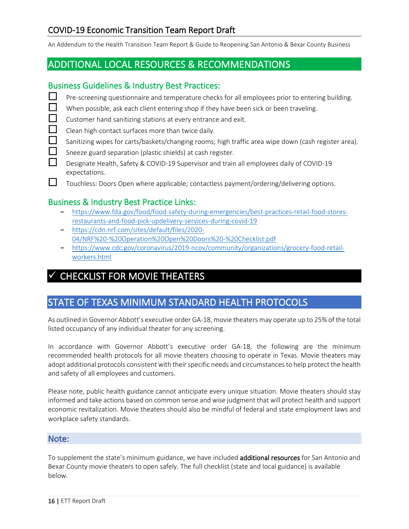An Addendum to the Health Transition Team Report & Guide to Reopening San Antonio & Bexar County Business

## ADDITIONAL LOCAL RESOURCES & RECOMMENDATIONS

#### Business Guidelines & Industry Best Practices:

- $\Box$  Pre-screening questionnaire and temperature checks for all employees prior to entering building.  $\Box$  When possible, ask each client entering shop if they have been sick or been traveling.  $\Box$  Customer hand sanitizing stations at every entrance and exit.  $\Box$  Clean high-contact surfaces more than twice daily.  $\Box$  Sanitizing wipes for carts/baskets/changing rooms; high traffic area wipe down (cash register area).  $\Box$  Sneeze guard separation (plastic shields) at cash register.
- Designate Health, Safety & COVID-19 Supervisor and train all employees daily of COVID-19 expectations.

Touchless: Doors Open where applicable; contactless payment/ordering/delivering options.

#### Business & Industry Best Practice Links:

- **-** [https://www.fda.gov/food/food-safety-during-emergencies/best-practices-retail-food-stores](https://www.fda.gov/food/food-safety-during-emergencies/best-practices-retail-food-stores-restaurants-and-food-pick-updelivery-services-during-covid-19)[restaurants-and-food-pick-updelivery-services-during-covid-19](https://www.fda.gov/food/food-safety-during-emergencies/best-practices-retail-food-stores-restaurants-and-food-pick-updelivery-services-during-covid-19)
- **-** [https://cdn.nrf.com/sites/default/files/2020-](https://url.emailprotection.link/?b57yrSQyG-9SU5qFjpaXe8iiN1D9TIi2XupV8O-Z30uCxDe5tsZN6Hloeh2QgWSyaUxP2_TPS9pegeo1qbwPyyQffG6Lb5Hz1DCc3T3HyfEVbyLuLRljdu8a4Ojphv4NQl4DcvEYvBIus6_ToWDWvUSK5olpNR3t3yRnqp1QM2KA%7E) [04/NRF%20-%20Operation%20Open%20Doors%20-%20Checklist.pdf](https://url.emailprotection.link/?b57yrSQyG-9SU5qFjpaXe8iiN1D9TIi2XupV8O-Z30uCxDe5tsZN6Hloeh2QgWSyaUxP2_TPS9pegeo1qbwPyyQffG6Lb5Hz1DCc3T3HyfEVbyLuLRljdu8a4Ojphv4NQl4DcvEYvBIus6_ToWDWvUSK5olpNR3t3yRnqp1QM2KA%7E)
- **-** [https://www.cdc.gov/coronavirus/2019-ncov/community/organizations/grocery-food-retail](https://url.emailprotection.link/?bRZ-SNKinU3f6_GUmXgG_sZ0AZwRKW7g7xpJUP_rhoXwfC7-hcc_v53nr43ynTdp1n-q3WdUj-XFLcZ5AV9fvVnPHJwh_qWfVlODcWrEgRYE6_PbZulLiEqszfg_fs6wI045tyxKtxOc_I_WNF_IDEXmyQo1fRvHvkUa3_ch8q4E%7E)[workers.html](https://url.emailprotection.link/?bRZ-SNKinU3f6_GUmXgG_sZ0AZwRKW7g7xpJUP_rhoXwfC7-hcc_v53nr43ynTdp1n-q3WdUj-XFLcZ5AV9fvVnPHJwh_qWfVlODcWrEgRYE6_PbZulLiEqszfg_fs6wI045tyxKtxOc_I_WNF_IDEXmyQo1fRvHvkUa3_ch8q4E%7E)

## <span id="page-16-0"></span> $\checkmark$  CHECKLIST FOR MOVIE THEATERS

## STATE OF TEXAS MINIMUM STANDARD HEALTH PROTOCOLS

As outlined in Governor Abbott's executive order GA-18, movie theaters may operate up to 25% of the total listed occupancy of any individual theater for any screening.

In accordance with Governor Abbott's executive order GA-18, the following are the minimum recommended health protocols for all movie theaters choosing to operate in Texas. Movie theaters may adopt additional protocols consistent with their specific needs and circumstances to help protect the health and safety of all employees and customers.

Please note, public health guidance cannot anticipate every unique situation. Movie theaters should stay informed and take actions based on common sense and wise judgment that will protect health and support economic revitalization. Movie theaters should also be mindful of federal and state employment laws and workplace safety standards.

#### Note:

To supplement the state's minimum guidance, we have included additional resources for San Antonio and Bexar County movie theaters to open safely. The full checklist (state and local guidance) is available below.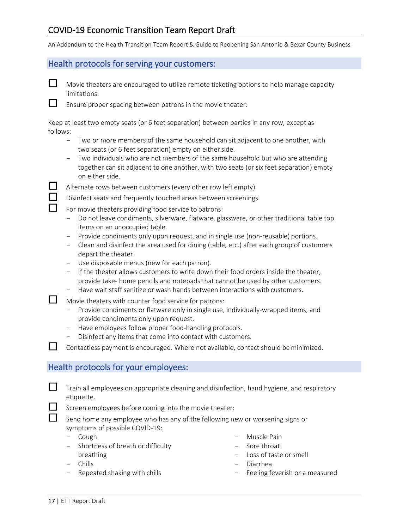An Addendum to the Health Transition Team Report & Guide to Reopening San Antonio & Bexar County Business

#### Health protocols for serving your customers:

 Movie theaters are encouraged to utilize remote ticketing options to help manage capacity limitations.

Ensure proper spacing between patrons in the movie theater:

Keep at least two empty seats (or 6 feet separation) between parties in any row, except as follows:

- Two or more members of the same household can sit adjacent to one another, with two seats (or 6 feet separation) empty on either side.
- Two individuals who are not members of the same household but who are attending together can sit adjacent to one another, with two seats (or six feet separation) empty on either side.
- Alternate rows between customers (every other row left empty).

Disinfect seats and frequently touched areas between screenings.

- For movie theaters providing food service to patrons:
- Do not leave condiments, silverware, flatware, glassware, or other traditional table top items on an unoccupied table.
- Provide condiments only upon request, and in single use (non-reusable) portions.
- Clean and disinfect the area used for dining (table, etc.) after each group of customers depart the theater.
- Use disposable menus (new for each patron).
- If the theater allows customers to write down their food orders inside the theater, provide take- home pencils and notepads that cannot be used by other customers.
- Have wait staff sanitize or wash hands between interactions with customers.

 $\Box$  Movie theaters with counter food service for patrons:

- Provide condiments or flatware only in single use, individually-wrapped items, and provide condiments only upon request.
- Have employees follow proper food-handling protocols.
- Disinfect any items that come into contact with customers.

 $\Box$  Contactless payment is encouraged. Where not available, contact should be minimized.

#### Health protocols for your employees:

 $\Box$  Train all employees on appropriate cleaning and disinfection, hand hygiene, and respiratory etiquette.

Screen employees before coming into the movie theater:

 Send home any employee who has any of the following new or worsening signs or symptoms of possible COVID-19:

- Cough
- Shortness of breath or difficulty breathing
- Chills
- Repeated shaking with chills
- Muscle Pain
- Sore throat
- Loss of taste or smell
- Diarrhea
- Feeling feverish or a measured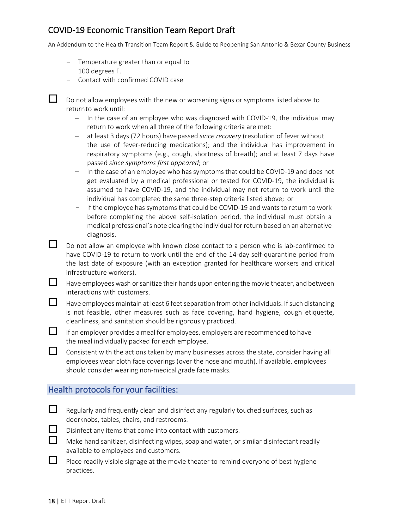An Addendum to the Health Transition Team Report & Guide to Reopening San Antonio & Bexar County Business

- **-** Temperature greater than or equal to 100 degrees F.
- Contact with confirmed COVID case

 $\Box$  Do not allow employees with the new or worsening signs or symptoms listed above to returnto work until:

– In the case of an employee who was diagnosed with COVID-19, the individual may return to work when all three of the following criteria are met:

– at least 3 days (72 hours) havepassed *since recovery* (resolution of fever without the use of fever-reducing medications); and the individual has improvement in respiratory symptoms (e.g., cough, shortness of breath); and at least 7 days have passed *since symptoms first appeared*; or

– In the case of an employee who has symptoms that could be COVID-19 and does not get evaluated by a medical professional or tested for COVID-19, the individual is assumed to have COVID-19, and the individual may not return to work until the individual has completed the same three-step criteria listed above; or

- If the employee has symptoms that could be COVID-19 and wants to return to work before completing the above self-isolation period, the individual must obtain a medical professional's note clearing the individual for return based on an alternative diagnosis.
- $\Box$  Do not allow an employee with known close contact to a person who is lab-confirmed to have COVID-19 to return to work until the end of the 14-day self-quarantine period from the last date of exposure (with an exception granted for healthcare workers and critical infrastructure workers).

 $\Box$  Have employees wash or sanitize their hands upon entering the movie theater, and between interactions with customers.

 $\Box$  Have employees maintain at least 6 feet separation from other individuals. If such distancing is not feasible, other measures such as face covering, hand hygiene, cough etiquette, cleanliness, and sanitation should be rigorously practiced.

- $\Box$  If an employer provides a meal for employees, employers are recommended to have the meal individually packed for each employee.
- $\Box$  Consistent with the actions taken by many businesses across the state, consider having all employees wear cloth face coverings (over the nose and mouth). If available, employees should consider wearing non-medical grade face masks.

#### Health protocols for your facilities:

- $\Box$  Regularly and frequently clean and disinfect any regularly touched surfaces, such as doorknobs, tables, chairs, and restrooms.
- $\Box$  Disinfect any items that come into contact with customers.
	- Make hand sanitizer, disinfecting wipes, soap and water, or similar disinfectant readily available to employees and customers.
- $\Box$  Place readily visible signage at the movie theater to remind everyone of best hygiene practices.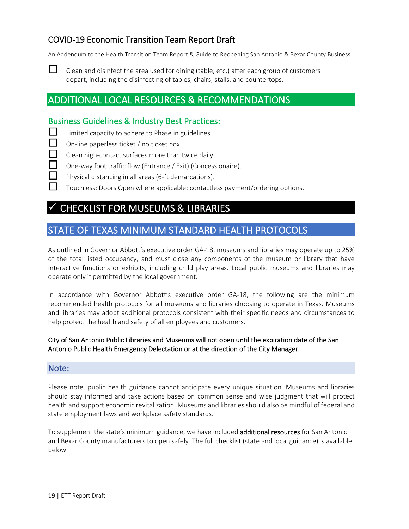An Addendum to the Health Transition Team Report & Guide to Reopening San Antonio & Bexar County Business

 $\Box$  Clean and disinfect the area used for dining (table, etc.) after each group of customers depart, including the disinfecting of tables, chairs, stalls, and countertops.

## ADDITIONAL LOCAL RESOURCES & RECOMMENDATIONS

#### Business Guidelines & Industry Best Practices:

- $\Box$  Limited capacity to adhere to Phase in guidelines.
- $\Box$  On-line paperless ticket / no ticket box.
- $\Box$  Clean high-contact surfaces more than twice daily.
- One-way foot traffic flow (Entrance / Exit) (Concessionaire).
- $\Box$  Physical distancing in all areas (6-ft demarcations).
	- Touchless: Doors Open where applicable; contactless payment/ordering options.

## <span id="page-19-0"></span> $\checkmark$  CHECKLIST FOR MUSEUMS & LIBRARIES

### STATE OF TEXAS MINIMUM STANDARD HEALTH PROTOCOLS

As outlined in Governor Abbott's executive order GA-18, museums and libraries may operate up to 25% of the total listed occupancy, and must close any components of the museum or library that have interactive functions or exhibits, including child play areas. Local public museums and libraries may operate only if permitted by the local government.

In accordance with Governor Abbott's executive order GA-18, the following are the minimum recommended health protocols for all museums and libraries choosing to operate in Texas. Museums and libraries may adopt additional protocols consistent with their specific needs and circumstances to help protect the health and safety of all employees and customers.

#### City of San Antonio Public Libraries and Museums will not open until the expiration date of the San Antonio Public Health Emergency Delectation or at the direction of the City Manager.

#### Note:

Please note, public health guidance cannot anticipate every unique situation. Museums and libraries should stay informed and take actions based on common sense and wise judgment that will protect health and support economic revitalization. Museums and libraries should also be mindful of federal and state employment laws and workplace safety standards.

To supplement the state's minimum guidance, we have included **additional resources** for San Antonio and Bexar County manufacturers to open safely. The full checklist (state and local guidance) is available below.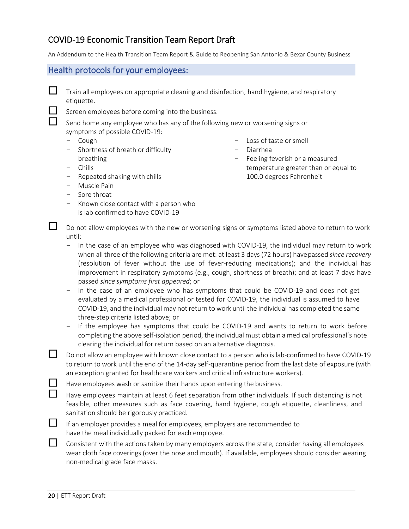An Addendum to the Health Transition Team Report & Guide to Reopening San Antonio & Bexar County Business

#### Health protocols for your employees:



 $\Box$  Train all employees on appropriate cleaning and disinfection, hand hygiene, and respiratory etiquette.

Screen employees before coming into the business.

 Send home any employee who has any of the following new or worsening signs or symptoms of possible COVID-19:

- Cough
- Shortness of breath or difficulty breathing
- Chills
- Repeated shaking with chills
- Muscle Pain
- Sore throat
- **-** Known close contact with a person who is lab confirmed to have COVID-19
- Loss of taste or smell
- Diarrhea
- Feeling feverish or a measured temperature greater than or equal to 100.0 degrees Fahrenheit

Do not allow employees with the new or worsening signs or symptoms listed above to return to work until:

- In the case of an employee who was diagnosed with COVID-19, the individual may return to work when all three of the following criteria are met: at least 3 days (72 hours) havepassed *since recovery*  (resolution of fever without the use of fever-reducing medications); and the individual has improvement in respiratory symptoms (e.g., cough, shortness of breath); and at least 7 days have passed *since symptoms first appeared*; or
- In the case of an employee who has symptoms that could be COVID-19 and does not get evaluated by a medical professional or tested for COVID-19, the individual is assumed to have COVID-19, and the individual may not return to work until the individual has completed the same three-step criteria listed above; or
- If the employee has symptoms that could be COVID-19 and wants to return to work before completing the above self-isolation period, the individual must obtain a medical professional's note clearing the individual for return based on an alternative diagnosis.
- $\Box$  Do not allow an employee with known close contact to a person who is lab-confirmed to have COVID-19 to return to work until the end of the 14-day self-quarantine period from the last date of exposure (with an exception granted for healthcare workers and critical infrastructure workers).
	- Have employees wash or sanitize their hands upon entering the business.
	- Have employees maintain at least 6 feet separation from other individuals. If such distancing is not feasible, other measures such as face covering, hand hygiene, cough etiquette, cleanliness, and sanitation should be rigorously practiced.
- $\Box$  If an employer provides a meal for employees, employers are recommended to have the meal individually packed for each employee.
- Consistent with the actions taken by many employers across the state, consider having all employees wear cloth face coverings (over the nose and mouth). If available, employees should consider wearing non-medical grade face masks.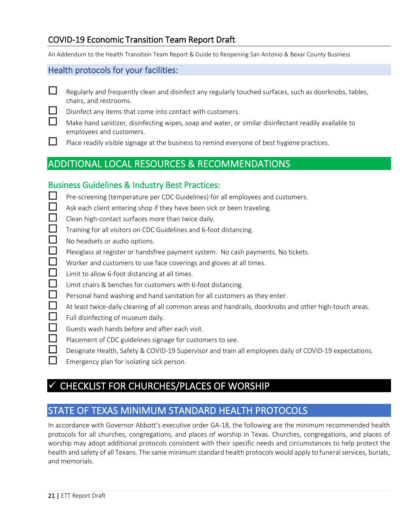An Addendum to the Health Transition Team Report & Guide to Reopening San Antonio & Bexar County Business

#### Health protocols for your facilities:

- $\Box$  Regularly and frequently clean and disinfect any regularly touched surfaces, such as doorknobs, tables, chairs, and restrooms.
- $\Box$  Disinfect any items that come into contact with customers.
	- Make hand sanitizer, disinfecting wipes, soap and water, or similar disinfectant readily available to employees and customers.
- $\Box$  Place readily visible signage at the business to remind everyone of best hygiene practices.

## ADDITIONAL LOCAL RESOURCES & RECOMMENDATIONS

#### Business Guidelines & Industry Best Practices:

 $\Box$  Pre-screening (temperature per CDC Guidelines) for all employees and customers.  $\Box$  Ask each client entering shop if they have been sick or been traveling.  $\Box$  Clean high-contact surfaces more than twice daily.  $\Box$  Training for all visitors on CDC Guidelines and 6-foot distancing.  $\Box$  No headsets or audio options.  $\Box$  Plexiglass at register or handsfree payment system. No cash payments. No tickets.  $\Box$  Worker and customers to use face coverings and gloves at all times. Limit to allow 6-foot distancing at all times.  $\Box$  Limit chairs & benches for customers with 6-foot distancing.  $\Box$  Personal hand washing and hand sanitation for all customers as they enter.  $\Box$  At least twice-daily cleaning of all common areas and handrails, doorknobs and other high-touch areas.  $\Box$  Full disinfecting of museum daily.  $\Box$  Guests wash hands before and after each visit.  $\Box$  Placement of CDC guidelines signage for customers to see. Designate Health, Safety & COVID-19 Supervisor and train all employees daily of COVID-19 expectations. Emergency plan for isolating sick person.

## <span id="page-21-0"></span> $\checkmark$  CHECKLIST FOR CHURCHES/PLACES OF WORSHIP

## STATE OF TEXAS MINIMUM STANDARD HEALTH PROTOCOLS

In accordance with Governor Abbott's executive order GA-18, the following are the minimum recommended health protocols for all churches, congregations, and places of worship in Texas. Churches, congregations, and places of worship may adopt additional protocols consistent with their specific needs and circumstances to help protect the health and safety of all Texans. The same minimum standard health protocols would apply to funeral services, burials, and memorials.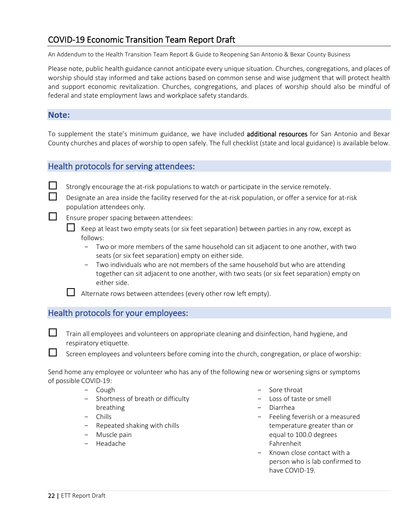An Addendum to the Health Transition Team Report & Guide to Reopening San Antonio & Bexar County Business

Please note, public health guidance cannot anticipate every unique situation. Churches, congregations, and places of worship should stay informed and take actions based on common sense and wise judgment that will protect health and support economic revitalization. Churches, congregations, and places of worship should also be mindful of federal and state employment laws and workplace safety standards.

#### **Note:**

To supplement the state's minimum guidance, we have included additional resources for San Antonio and Bexar County churches and places of worship to open safely. The full checklist (state and local guidance) is available below.

#### Health protocols for serving attendees:

- Strongly encourage the at-risk populations to watch or participate in the service remotely.
	- Designate an area inside the facility reserved for the at-risk population, or offer a service for at-risk population attendees only.

Ensure proper spacing between attendees:

- Keep at least two empty seats (or six feet separation) between parties in any row, except as follows:
	- Two or more members of the same household can sit adjacent to one another, with two seats (or six feet separation) empty on either side.
	- Two individuals who are not members of the same household but who are attending together can sit adjacent to one another, with two seats (or six feet separation) empty on either side.
- $\Box$  Alternate rows between attendees (every other row left empty).

#### Health protocols for your employees:

- $\Box$  Train all employees and volunteers on appropriate cleaning and disinfection, hand hygiene, and respiratory etiquette.
	- Screen employees and volunteers before coming into the church, congregation, or place ofworship:

Send home any employee or volunteer who has any of the following new or worsening signs or symptoms of possible COVID-19:

- Cough
- Shortness of breath or difficulty breathing
- Chills
- Repeated shaking with chills
- Muscle pain
- Headache
- Sore throat
- Loss of taste or smell
- Diarrhea
- Feeling feverish or a measured temperature greater than or equal to 100.0 degrees Fahrenheit
- Known close contact with a person who is lab confirmed to have COVID-19.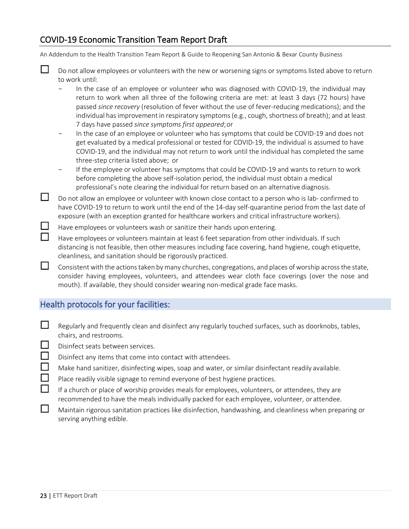An Addendum to the Health Transition Team Report & Guide to Reopening San Antonio & Bexar County Business

 Do not allow employees or volunteers with the new or worsening signs or symptoms listed above to return to work until:

- In the case of an employee or volunteer who was diagnosed with COVID-19, the individual may return to work when all three of the following criteria are met: at least 3 days (72 hours) have passed *since recovery* (resolution of fever without the use of fever-reducing medications); and the individual has improvement in respiratory symptoms (e.g., cough, shortness of breath); and at least 7 days have passed *since symptoms first appeared*;or
- In the case of an employee or volunteer who has symptoms that could be COVID-19 and does not get evaluated by a medical professional or tested for COVID-19, the individual is assumed to have COVID-19, and the individual may not return to work until the individual has completed the same three-step criteria listed above; or
- If the employee or volunteer has symptoms that could be COVID-19 and wants to return to work before completing the above self-isolation period, the individual must obtain a medical professional's note clearing the individual for return based on an alternative diagnosis.
- Do not allow an employee or volunteer with known close contact to a person who is lab- confirmed to have COVID-19 to return to work until the end of the 14-day self-quarantine period from the last date of exposure (with an exception granted for healthcare workers and critical infrastructure workers).
- $\Box$  Have employees or volunteers wash or sanitize their hands upon entering.
	- Have employees or volunteers maintain at least 6 feet separation from other individuals. If such distancing is not feasible, then other measures including face covering, hand hygiene, cough etiquette, cleanliness, and sanitation should be rigorously practiced.
- $\Box$  Consistent with the actions taken by many churches, congregations, and places of worship across the state, consider having employees, volunteers, and attendees wear cloth face coverings (over the nose and mouth). If available, they should consider wearing non-medical grade face masks.

#### Health protocols for your facilities:

- $\Box$  Regularly and frequently clean and disinfect any regularly touched surfaces, such as doorknobs, tables, chairs, and restrooms.
- $\Box$  Disinfect seats between services.
- $\Box$  Disinfect any items that come into contact with attendees.
- $\Box$  Make hand sanitizer, disinfecting wipes, soap and water, or similar disinfectant readily available.
- $\Box$  Place readily visible signage to remind everyone of best hygiene practices.
- $\Box$  If a church or place of worship provides meals for employees, volunteers, or attendees, they are recommended to have the meals individually packed for each employee, volunteer, or attendee.
- $\Box$  Maintain rigorous sanitation practices like disinfection, handwashing, and cleanliness when preparing or serving anything edible.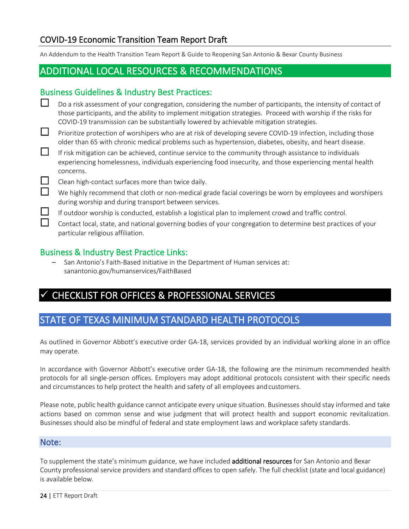An Addendum to the Health Transition Team Report & Guide to Reopening San Antonio & Bexar County Business

### ADDITIONAL LOCAL RESOURCES & RECOMMENDATIONS

#### Business Guidelines & Industry Best Practices:

- $\square$  Do a risk assessment of your congregation, considering the number of participants, the intensity of contact of those participants, and the ability to implement mitigation strategies. Proceed with worship if the risks for COVID-19 transmission can be substantially lowered by achievable mitigation strategies.
- **Prioritize protection of worshipers who are at risk of developing severe COVID-19 infection, including those** older than 65 with chronic medical problems such as hypertension, diabetes, obesity, and heart disease.
- $\Box$  If risk mitigation can be achieved, continue service to the community through assistance to individuals experiencing homelessness, individuals experiencing food insecurity, and those experiencing mental health concerns.
	- Clean high-contact surfaces more than twice daily.
		- We highly recommend that cloth or non-medical grade facial coverings be worn by employees and worshipers during worship and during transport between services.
		- If outdoor worship is conducted, establish a logistical plan to implement crowd and traffic control.
		- Contact local, state, and national governing bodies of your congregation to determine best practices of your particular religious affiliation.

#### Business & Industry Best Practice Links:

– San Antonio's Faith-Based initiative in the Department of Human services at: sanantonio.gov/humanservices/FaithBased

## <span id="page-24-0"></span> $\checkmark$  CHECKLIST FOR OFFICES & PROFESSIONAL SERVICES

## STATE OF TEXAS MINIMUM STANDARD HEALTH PROTOCOLS

As outlined in Governor Abbott's executive order GA-18, services provided by an individual working alone in an office may operate.

In accordance with Governor Abbott's executive order GA-18, the following are the minimum recommended health protocols for all single-person offices. Employers may adopt additional protocols consistent with their specific needs and circumstances to help protect the health and safety of all employees and customers.

Please note, public health guidance cannot anticipate every unique situation. Businesses should stay informed and take actions based on common sense and wise judgment that will protect health and support economic revitalization. Businesses should also be mindful of federal and state employment laws and workplace safety standards.

#### Note:

To supplement the state's minimum guidance, we have included additional resources for San Antonio and Bexar County professional service providers and standard offices to open safely. The full checklist (state and local guidance) is available below.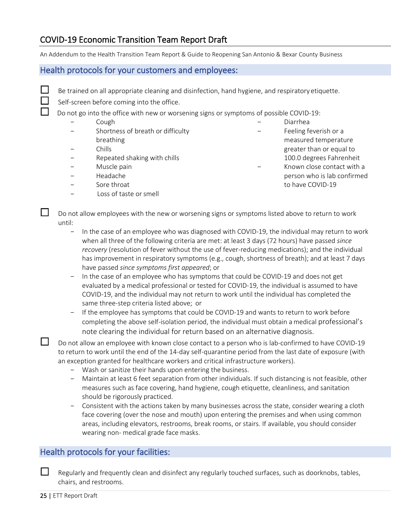An Addendum to the Health Transition Team Report & Guide to Reopening San Antonio & Bexar County Business

Health protocols for your customers and employees:

 $\Box$  Be trained on all appropriate cleaning and disinfection, hand hygiene, and respiratory etiquette.

Self-screen before coming into the office.

Do not go into the office with new or worsening signs or symptoms of possible COVID-19:

- Cough
	- Shortness of breath or difficulty
- breathing - Chills
- Repeated shaking with chills
- Muscle pain
- Headache
- Sore throat
- Loss of taste or smell
- **Diarrhea** Feeling feverish or a measured temperature greater than or equal to 100.0 degrees Fahrenheit
- Known close contact with a person who is lab confirmed to have COVID-19

 $\Box$  Do not allow employees with the new or worsening signs or symptoms listed above to return to work until:

- In the case of an employee who was diagnosed with COVID-19, the individual may return to work when all three of the following criteria are met: at least 3 days (72 hours) have passed *since recovery* (resolution of fever without the use of fever-reducing medications); and the individual has improvement in respiratory symptoms (e.g., cough, shortness of breath); and at least 7 days have passed *since symptoms first appeared*; or
- In the case of an employee who has symptoms that could be COVID-19 and does not get evaluated by a medical professional or tested for COVID-19, the individual is assumed to have COVID-19, and the individual may not return to work until the individual has completed the same three-step criteria listed above; or
- If the employee has symptoms that could be COVID-19 and wants to return to work before completing the above self-isolation period, the individual must obtain a medical professional's note clearing the individual for return based on an alternative diagnosis.

 $\Box$  Do not allow an employee with known close contact to a person who is lab-confirmed to have COVID-19 to return to work until the end of the 14-day self-quarantine period from the last date of exposure (with an exception granted for healthcare workers and critical infrastructure workers).

- Wash or sanitize their hands upon entering the business.
- Maintain at least 6 feet separation from other individuals. If such distancing is not feasible, other measures such as face covering, hand hygiene, cough etiquette, cleanliness, and sanitation should be rigorously practiced.
- Consistent with the actions taken by many businesses across the state, consider wearing a cloth face covering (over the nose and mouth) upon entering the premises and when using common areas, including elevators, restrooms, break rooms, or stairs. If available, you should consider wearing non- medical grade face masks.

#### Health protocols for your facilities:

 $\Box$  Regularly and frequently clean and disinfect any regularly touched surfaces, such as doorknobs, tables, chairs, and restrooms.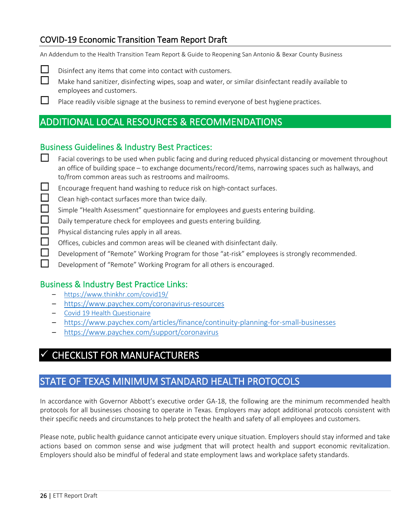An Addendum to the Health Transition Team Report & Guide to Reopening San Antonio & Bexar County Business



 $\Box$  Disinfect any items that come into contact with customers.

 $\Box$  Make hand sanitizer, disinfecting wipes, soap and water, or similar disinfectant readily available to employees and customers.

Place readily visible signage at the business to remind everyone of best hygiene practices.

## ADDITIONAL LOCAL RESOURCES & RECOMMENDATIONS

#### Business Guidelines & Industry Best Practices:

- $\Box$  Facial coverings to be used when public facing and during reduced physical distancing or movement throughout an office of building space – to exchange documents/record/items, narrowing spaces such as hallways, and to/from common areas such as restrooms and mailrooms.
- $\Box$  Encourage frequent hand washing to reduce risk on high-contact surfaces.
- $\Box$  Clean high-contact surfaces more than twice daily.
- $\Box$  Simple "Health Assessment" questionnaire for employees and guests entering building.
- $\Box$  Daily temperature check for employees and guests entering building.
- $\Box$  Physical distancing rules apply in all areas.
- $\Box$  Offices, cubicles and common areas will be cleaned with disinfectant daily.
- $\Box$  Development of "Remote" Working Program for those "at-risk" employees is strongly recommended.
	- Development of "Remote" Working Program for all others is encouraged.

#### Business & Industry Best Practice Links:

- <https://www.thinkhr.com/covid19/>
- <https://www.paychex.com/coronavirus-resources>
- [Covid 19 Health Questionaire](https://url.emailprotection.link/?b0R3ky6RPKLPnvmwBm9P2eLSrTz0etqMsH33NNBKfqxlD4Beli4wVc5VrY37qhydiu7Us7p1go3Gjra6L4RsYWET4xxZi2xcHkN5Q740bjJHOf4rYj7XjuFWWo7Uter5iTxDQ1SRXDcp8Kg5eN0MY3JyBROVBziHD7zNZHJDui33Gx3ksF-CyKHI6-PfCjgRZcWKiSnVKYI0NAC4drGw88QcGYIVofKXCADfmujkAqt5TZglfQrX207ZTPUlIzM-CW3NHW5shlTGgev2MuBrKYWIersFK1AM2KQQ6JhdUWLaccebKPoc9nSOkQigrSOwVI43oiDA93T6I90TJiBPrMkUVNXhnIek1RcA9Gh0I49L4F7UrR0bWFr65CovfRUHi)
- [https://www.paychex.com/articles/finance/continuity-planning-for-small-businesses](https://urldefense.proofpoint.com/v2/url?u=https-3A__www.paychex.com_articles_finance_continuity-2Dplanning-2Dfor-2Dsmall-2Dbusinesses&d=DwMFJg&c=DDPRwrN9uYSNUDpKqPeD1g&r=ql17_h5xZxzHd_japkgHDzU9TUbNC1wjn5Opw9UKUUQ&m=bpa2k97yJQ8DN3_N6LYSBoVNws_No60wjziGLI3nE6U&s=W1ECilz39LftDNXJ2vfLviQX43xyHacga3POYTekUNY&e=)
- [https://www.paychex.com/support/coronavirus](https://urldefense.proofpoint.com/v2/url?u=https-3A__www.paychex.com_support_coronavirus&d=DwMFJg&c=DDPRwrN9uYSNUDpKqPeD1g&r=ql17_h5xZxzHd_japkgHDzU9TUbNC1wjn5Opw9UKUUQ&m=bpa2k97yJQ8DN3_N6LYSBoVNws_No60wjziGLI3nE6U&s=w_-HZnOeUH7323iU9xPLzYUcitI1eoik3TiKkmcqSbQ&e=)

## <span id="page-26-0"></span> $\checkmark$  CHECKLIST FOR MANUFACTURERS

### STATE OF TEXAS MINIMUM STANDARD HEALTH PROTOCOLS

In accordance with Governor Abbott's executive order GA-18, the following are the minimum recommended health protocols for all businesses choosing to operate in Texas. Employers may adopt additional protocols consistent with their specific needs and circumstances to help protect the health and safety of all employees and customers.

Please note, public health guidance cannot anticipate every unique situation. Employers should stay informed and take actions based on common sense and wise judgment that will protect health and support economic revitalization. Employers should also be mindful of federal and state employment laws and workplace safety standards.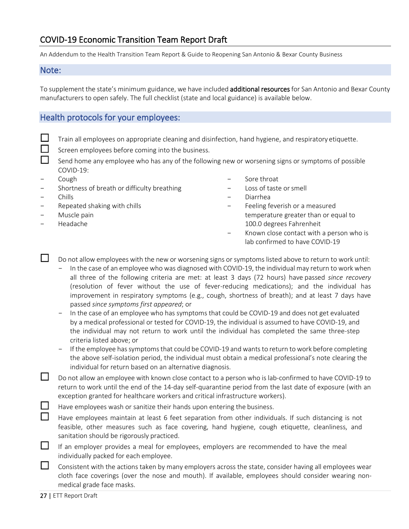An Addendum to the Health Transition Team Report & Guide to Reopening San Antonio & Bexar County Business

#### Note:

To supplement the state's minimum guidance, we have included additional resources for San Antonio and Bexar County manufacturers to open safely. The full checklist (state and local guidance) is available below.

#### Health protocols for your employees:

Train all employees on appropriate cleaning and disinfection, hand hygiene, and respiratory etiquette.

 $\Box$  Screen employees before coming into the business.

- Send home any employee who has any of the following new or worsening signs or symptoms of possible COVID-19:
- Cough
- Shortness of breath or difficulty breathing
- Chills
- Repeated shaking with chills
- Muscle pain
- Headache
- Sore throat
- Loss of taste or smell
- Diarrhea
- Feeling feverish or a measured temperature greater than or equal to 100.0 degrees Fahrenheit
- Known close contact with a person who is lab confirmed to have COVID-19
- $\square$  Do not allow employees with the new or worsening signs or symptoms listed above to return to work until:
	- In the case of an employee who was diagnosed with COVID-19, the individual may return to work when all three of the following criteria are met: at least 3 days (72 hours) have passed *since recovery*  (resolution of fever without the use of fever-reducing medications); and the individual has improvement in respiratory symptoms (e.g., cough, shortness of breath); and at least 7 days have passed *since symptoms first appeared*; or
	- In the case of an employee who has symptoms that could be COVID-19 and does not get evaluated by a medical professional or tested for COVID-19, the individual is assumed to have COVID-19, and the individual may not return to work until the individual has completed the same three-step criteria listed above; or
	- If the employee has symptoms that could be COVID-19 and wants to return to work before completing the above self-isolation period, the individual must obtain a medical professional's note clearing the individual for return based on an alternative diagnosis.

Do not allow an employee with known close contact to a person who is lab-confirmed to have COVID-19 to return to work until the end of the 14-day self-quarantine period from the last date of exposure (with an exception granted for healthcare workers and critical infrastructure workers).

Have employees wash or sanitize their hands upon entering the business.

 Have employees maintain at least 6 feet separation from other individuals. If such distancing is not feasible, other measures such as face covering, hand hygiene, cough etiquette, cleanliness, and sanitation should be rigorously practiced.

 $\Box$  If an employer provides a meal for employees, employers are recommended to have the meal individually packed for each employee.

 $\Box$  Consistent with the actions taken by many employers across the state, consider having all employees wear cloth face coverings (over the nose and mouth). If available, employees should consider wearing nonmedical grade face masks.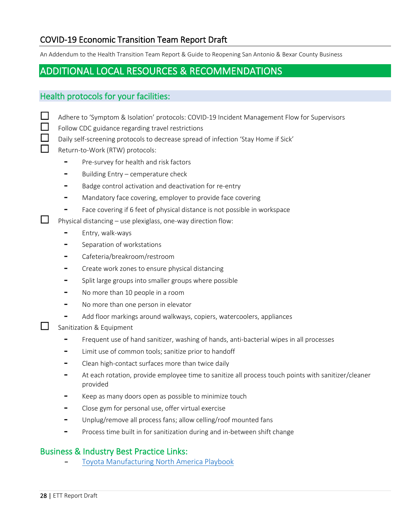An Addendum to the Health Transition Team Report & Guide to Reopening San Antonio & Bexar County Business

## ADDITIONAL LOCAL RESOURCES & RECOMMENDATIONS

#### Health protocols for your facilities:

Adhere to 'Symptom & Isolation' protocols: COVID-19 Incident Management Flow for Supervisors

Follow CDC guidance regarding travel restrictions

Daily self-screening protocols to decrease spread of infection 'Stay Home if Sick'

Return-to-Work (RTW) protocols:

- **-** Pre-survey for health and risk factors
- **-** Building Entry cemperature check
- **-** Badge control activation and deactivation for re-entry
- **-** Mandatory face covering, employer to provide face covering
- **-** Face covering if 6 feet of physical distance is not possible in workspace

**L** Physical distancing – use plexiglass, one-way direction flow:

- **-** Entry, walk-ways
- **-** Separation of workstations
- **-** Cafeteria/breakroom/restroom
- **-** Create work zones to ensure physical distancing
- **-** Split large groups into smaller groups where possible
- **-** No more than 10 people in a room
- **-** No more than one person in elevator
- **-** Add floor markings around walkways, copiers, watercoolers, appliances

Sanitization & Equipment

- **-** Frequent use of hand sanitizer, washing of hands, anti-bacterial wipes in all processes
- **-** Limit use of common tools; sanitize prior to handoff
- **-** Clean high-contact surfaces more than twice daily
- **-** At each rotation, provide employee time to sanitize all process touch points with sanitizer/cleaner provided
- **-** Keep as many doors open as possible to minimize touch
- **-** Close gym for personal use, offer virtual exercise
- **-** Unplug/remove all process fans; allow celling/roof mounted fans
- **-** Process time built in for sanitization during and in-between shift change

#### Business & Industry Best Practice Links:

**-** [Toyota Manufacturing North America Playbook](https://url.emailprotection.link/?bI2YgQPGSUtRQh_3wSx6xSt86kG9B2SbKSRxH7VkcTPb_r6XUatSa1-oNuCA_xygzyNgG4PpEKKlfH5YN1SZSGNla1JYKL8_UpA6NUMPbYXRpFDk2TCmJnQ6ygMZfvJEfTBEhcK9btZYojnYKfc7lSbaV1SHpUEvUuG9WgmBgO-SaB3mXwXNVhS2VzbY5ZF00pzE-POmDVb5i0zkaj42sWreHnWTAshVwpN3dAKXKsoIuX5e41dcynsvcujQwDYDjUqpsCZebVhimdZ9AcMG-T2gHs4l5QipjyvIjbyk70xwyqiRVfEzObR9YfTZphb16EPEgPuzvlIzY_OYURIaMGtkst7zu8d8MpDY1NqA2AOlvc4UBmLYPxkP4YOhHTFNL8DYwcE7qmEfv0mF3CQTmi13aTb2gAiBZp7RWGNt8iv8%7E)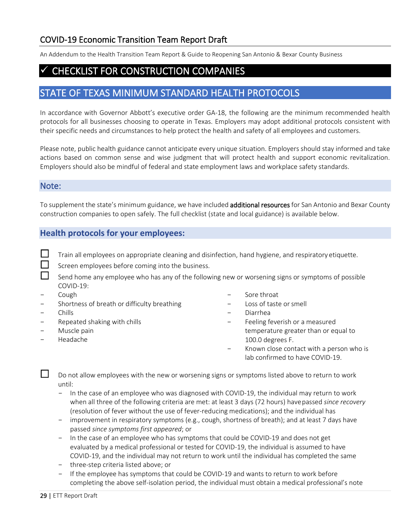An Addendum to the Health Transition Team Report & Guide to Reopening San Antonio & Bexar County Business

## <span id="page-29-0"></span>CHECKLIST FOR CONSTRUCTION COMPANIES

### STATE OF TEXAS MINIMUM STANDARD HEALTH PROTOCOLS

In accordance with Governor Abbott's executive order GA-18, the following are the minimum recommended health protocols for all businesses choosing to operate in Texas. Employers may adopt additional protocols consistent with their specific needs and circumstances to help protect the health and safety of all employees and customers.

Please note, public health guidance cannot anticipate every unique situation. Employers should stay informed and take actions based on common sense and wise judgment that will protect health and support economic revitalization. Employers should also be mindful of federal and state employment laws and workplace safety standards.

#### Note:

To supplement the state's minimum guidance, we have included additional resources for San Antonio and Bexar County construction companies to open safely. The full checklist (state and local guidance) is available below.

#### **Health protocols for your employees:**

- $\Box$  Train all employees on appropriate cleaning and disinfection, hand hygiene, and respiratory etiquette.
	- Screen employees before coming into the business.
	- Send home any employee who has any of the following new or worsening signs or symptoms of possible COVID-19:
- Cough
- Shortness of breath or difficulty breathing
- Chills
- Repeated shaking with chills
- Muscle pain
- Headache
- Sore throat
- Loss of taste orsmell
- Diarrhea
- Feeling feverish or a measured temperature greater than or equal to 100.0 degrees F.
- Known close contact with a person who is lab confirmed to have COVID-19.

 $\square$  Do not allow employees with the new or worsening signs or symptoms listed above to return to work until:

- In the case of an employee who was diagnosed with COVID-19, the individual may return to work when all three of the following criteria are met: at least 3 days (72 hours) havepassed *since recovery*  (resolution of fever without the use of fever-reducing medications); and the individual has
- improvement in respiratory symptoms (e.g., cough, shortness of breath); and at least 7 days have passed *since symptoms first appeared*; or
- In the case of an employee who has symptoms that could be COVID-19 and does not get evaluated by a medical professional or tested for COVID-19, the individual is assumed to have COVID-19, and the individual may not return to work until the individual has completed the same
- three-step criteria listed above; or
- If the employee has symptoms that could be COVID-19 and wants to return to work before completing the above self-isolation period, the individual must obtain a medical professional's note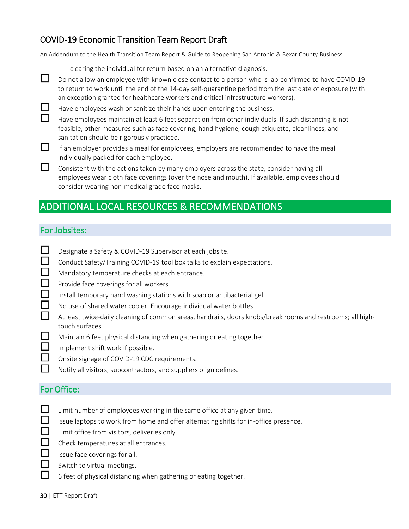An Addendum to the Health Transition Team Report & Guide to Reopening San Antonio & Bexar County Business

clearing the individual for return based on an alternative diagnosis.

- Do not allow an employee with known close contact to a person who is lab-confirmed to have COVID-19 to return to work until the end of the 14-day self-quarantine period from the last date of exposure (with an exception granted for healthcare workers and critical infrastructure workers).
- 

 $\Box$  Have employees wash or sanitize their hands upon entering the business.

 Have employees maintain at least 6 feet separation from other individuals. If such distancing is not feasible, other measures such as face covering, hand hygiene, cough etiquette, cleanliness, and sanitation should be rigorously practiced.

 $\Box$  If an employer provides a meal for employees, employers are recommended to have the meal individually packed for each employee.

 $\Box$  Consistent with the actions taken by many employers across the state, consider having all employees wear cloth face coverings (over the nose and mouth). If available, employees should consider wearing non-medical grade face masks.

## ADDITIONAL LOCAL RESOURCES & RECOMMENDATIONS

#### For Jobsites:

|  | Designate a Safety & COVID-19 Supervisor at each jobsite. |  |  |
|--|-----------------------------------------------------------|--|--|
|--|-----------------------------------------------------------|--|--|

- Conduct Safety/Training COVID-19 tool box talks to explain expectations.
- $\Box$  Mandatory temperature checks at each entrance.
- $\Box$  Provide face coverings for all workers.
- $\Box$  Install temporary hand washing stations with soap or antibacterial gel.
- $\Box$  No use of shared water cooler. Encourage individual water bottles.
- $\Box$  At least twice-daily cleaning of common areas, handrails, doors knobs/break rooms and restrooms; all hightouch surfaces.
- $\Box$  Maintain 6 feet physical distancing when gathering or eating together.
- $\Box$  Implement shift work if possible.
- Onsite signage of COVID-19 CDC requirements.
- Notify all visitors, subcontractors, and suppliers of guidelines.

#### For Office:

- $\Box$  Limit number of employees working in the same office at any given time.
- $\Box$  Issue laptops to work from home and offer alternating shifts for in-office presence.
- $\Box$  Limit office from visitors, deliveries only.
	- Check temperatures at all entrances.
	- Issue face coverings for all.
	- Switch to virtual meetings.
	- 6 feet of physical distancing when gathering or eating together.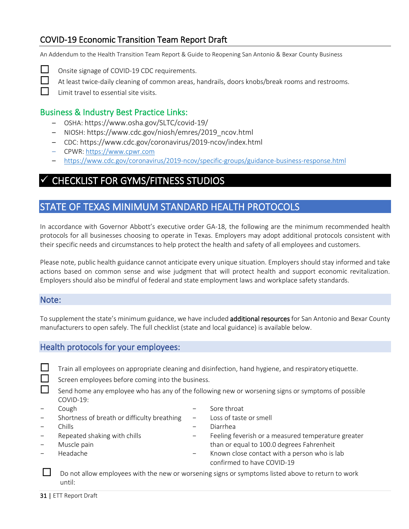An Addendum to the Health Transition Team Report & Guide to Reopening San Antonio & Bexar County Business



Onsite signage of COVID-19 CDC requirements.

 $\Box$  At least twice-daily cleaning of common areas, handrails, doors knobs/break rooms and restrooms.

Limit travel to essential site visits.

#### Business & Industry Best Practice Links:

- OSHA[: https://www.osha.gov/SLTC/covid-19/](https://www.osha.gov/SLTC/covid-19/)
- NIOSH: [https://www.cdc.gov/niosh/emres/2019\\_ncov.html](https://www.cdc.gov/niosh/emres/2019_ncov.html)
- CDC:<https://www.cdc.gov/coronavirus/2019-ncov/index.html>
- CPWR[: https://www.cpwr.com](https://www.cpwr.com/)
- <https://www.cdc.gov/coronavirus/2019-ncov/specific-groups/guidance-business-response.html>

## <span id="page-31-0"></span> $\checkmark$  CHECKLIST FOR GYMS/FITNESS STUDIOS

### STATE OF TEXAS MINIMUM STANDARD HEALTH PROTOCOLS

In accordance with Governor Abbott's executive order GA-18, the following are the minimum recommended health protocols for all businesses choosing to operate in Texas. Employers may adopt additional protocols consistent with their specific needs and circumstances to help protect the health and safety of all employees and customers.

Please note, public health guidance cannot anticipate every unique situation. Employers should stay informed and take actions based on common sense and wise judgment that will protect health and support economic revitalization. Employers should also be mindful of federal and state employment laws and workplace safety standards.

#### Note:

To supplement the state's minimum guidance, we have included additional resources for San Antonio and Bexar County manufacturers to open safely. The full checklist (state and local guidance) is available below.

#### Health protocols for your employees:

Train all employees on appropriate cleaning and disinfection, hand hygiene, and respiratory etiquette.

- Screen employees before coming into the business.
- $\Box$  Send home any employee who has any of the following new or worsening signs or symptoms of possible COVID-19:
- Cough
- 
- Shortness of breath or difficulty breathing
- Chills
- Repeated shaking with chills
- Muscle pain
- Headache
- Sore throat
	- Loss of taste or smell
- Diarrhea
- Feeling feverish or a measured temperature greater than or equal to 100.0 degrees Fahrenheit
- Known close contact with a person who is lab confirmed to have COVID-19

 $\Box$  Do not allow employees with the new or worsening signs or symptoms listed above to return to work until: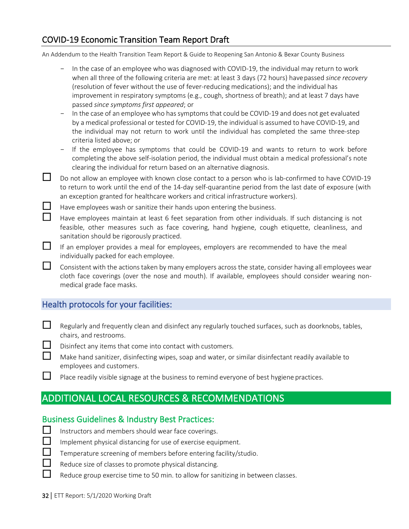An Addendum to the Health Transition Team Report & Guide to Reopening San Antonio & Bexar County Business

- In the case of an employee who was diagnosed with COVID-19, the individual may return to work when all three of the following criteria are met: at least 3 days (72 hours) havepassed *since recovery*  (resolution of fever without the use of fever-reducing medications); and the individual has improvement in respiratory symptoms (e.g., cough, shortness of breath); and at least 7 days have passed *since symptoms first appeared*; or
- In the case of an employee who has symptoms that could be COVID-19 and does not get evaluated by a medical professional or tested for COVID-19, the individual is assumed to have COVID-19, and the individual may not return to work until the individual has completed the same three-step criteria listed above; or
- If the employee has symptoms that could be COVID-19 and wants to return to work before completing the above self-isolation period, the individual must obtain a medical professional's note clearing the individual for return based on an alternative diagnosis.
- Do not allow an employee with known close contact to a person who is lab-confirmed to have COVID-19 to return to work until the end of the 14-day self-quarantine period from the last date of exposure (with an exception granted for healthcare workers and critical infrastructure workers).

Have employees wash or sanitize their hands upon entering the business.

 Have employees maintain at least 6 feet separation from other individuals. If such distancing is not feasible, other measures such as face covering, hand hygiene, cough etiquette, cleanliness, and sanitation should be rigorously practiced.

- $\Box$  If an employer provides a meal for employees, employers are recommended to have the meal individually packed for each employee.
- $\Box$  Consistent with the actions taken by many employers across the state, consider having all employees wear cloth face coverings (over the nose and mouth). If available, employees should consider wearing nonmedical grade face masks.

#### Health protocols for your facilities:

- $\Box$  Regularly and frequently clean and disinfect any regularly touched surfaces, such as doorknobs, tables, chairs, and restrooms.
	- Disinfect any items that come into contact with customers.
	- Make hand sanitizer, disinfecting wipes, soap and water, or similar disinfectant readily available to employees and customers.
- $\Box$  Place readily visible signage at the business to remind everyone of best hygiene practices.

### ADDITIONAL LOCAL RESOURCES & RECOMMENDATIONS

#### Business Guidelines & Industry Best Practices:

- 
- $\Box$  Instructors and members should wear face coverings.
- $\Box$  Implement physical distancing for use of exercise equipment.
	- Temperature screening of members before entering facility/studio.
	- Reduce size of classes to promote physical distancing.
	- Reduce group exercise time to 50 min. to allow for sanitizing in between classes.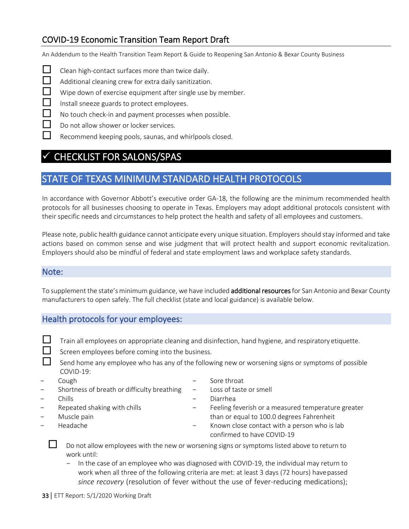An Addendum to the Health Transition Team Report & Guide to Reopening San Antonio & Bexar County Business

Clean high-contact surfaces more than twice daily.

Additional cleaning crew for extra daily sanitization.

Wipe down of exercise equipment after single use by member.

Install sneeze guards to protect employees.

No touch check-in and payment processes when possible.

Do not allow shower or locker services.

Recommend keeping pools, saunas, and whirlpools closed.

## <span id="page-33-0"></span>CHECKLIST FOR SALONS/SPAS

## STATE OF TEXAS MINIMUM STANDARD HEALTH PROTOCOLS

In accordance with Governor Abbott's executive order GA-18, the following are the minimum recommended health protocols for all businesses choosing to operate in Texas. Employers may adopt additional protocols consistent with their specific needs and circumstances to help protect the health and safety of all employees and customers.

Please note, public health guidance cannot anticipate every unique situation. Employers should stay informed and take actions based on common sense and wise judgment that will protect health and support economic revitalization. Employers should also be mindful of federal and state employment laws and workplace safety standards.

#### Note:

To supplement the state's minimum guidance, we have included **additional resources** for San Antonio and Bexar County manufacturers to open safely. The full checklist (state and local guidance) is available below.

#### Health protocols for your employees:

|  |  |  |  |  |  | $\Box$ Train all employees on appropriate cleaning and disinfection, hand hygiene, and respiratory etiquette. |
|--|--|--|--|--|--|---------------------------------------------------------------------------------------------------------------|
|--|--|--|--|--|--|---------------------------------------------------------------------------------------------------------------|

Screen employees before coming into the business.

 Send home any employee who has any of the following new or worsening signs or symptoms of possible COVID-19:

- **Cough**
- Shortness of breath or difficulty breathing
- Chills
- Repeated shaking with chills
- Muscle pain
- Headache

Sore throat

- Loss of taste or smell
- Diarrhea
- Feeling feverish or a measured temperature greater than or equal to 100.0 degrees Fahrenheit
- Known close contact with a person who is lab confirmed to have COVID-19
- $\Box$  Do not allow employees with the new or worsening signs or symptoms listed above to return to work until:
	- In the case of an employee who was diagnosed with COVID-19, the individual may return to work when all three of the following criteria are met: at least 3 days (72 hours) havepassed *since recovery* (resolution of fever without the use of fever-reducing medications);

33 **|** ETT Report: 5/1/2020 Working Draft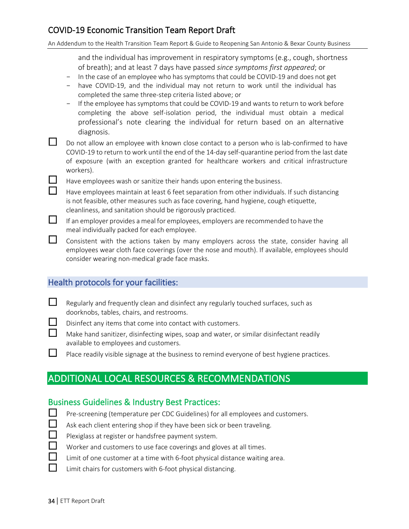An Addendum to the Health Transition Team Report & Guide to Reopening San Antonio & Bexar County Business

and the individual has improvement in respiratory symptoms (e.g., cough, shortness of breath); and at least 7 days have passed *since symptoms first appeared*; or

- In the case of an employee who has symptoms that could be COVID-19 and does not get
- have COVID-19, and the individual may not return to work until the individual has completed the same three-step criteria listed above; or
- If the employee has symptoms that could be COVID-19 and wants to return to work before completing the above self-isolation period, the individual must obtain a medical professional's note clearing the individual for return based on an alternative diagnosis.
- Do not allow an employee with known close contact to a person who is lab-confirmed to have
	- COVID-19 to return to work until the end of the 14-day self-quarantine period from the last date of exposure (with an exception granted for healthcare workers and critical infrastructure workers).
- $\Box$  Have employees wash or sanitize their hands upon entering the business.

 $\Box$  Have employees maintain at least 6 feet separation from other individuals. If such distancing is not feasible, other measures such as face covering, hand hygiene, cough etiquette, cleanliness, and sanitation should be rigorously practiced.

- $\Box$  If an employer provides a meal for employees, employers are recommended to have the meal individually packed for each employee.
- $\Box$  Consistent with the actions taken by many employers across the state, consider having all employees wear cloth face coverings (over the nose and mouth). If available, employees should consider wearing non-medical grade face masks.

#### Health protocols for your facilities:

- $\Box$  Regularly and frequently clean and disinfect any regularly touched surfaces, such as doorknobs, tables, chairs, and restrooms.
- Disinfect any items that come into contact with customers.
	- Make hand sanitizer, disinfecting wipes, soap and water, or similar disinfectant readily available to employees and customers.
- $\Box$  Place readily visible signage at the business to remind everyone of best hygiene practices.

## ADDITIONAL LOCAL RESOURCES & RECOMMENDATIONS

#### Business Guidelines & Industry Best Practices:

- $\Box$  Pre-screening (temperature per CDC Guidelines) for all employees and customers.
- $\Box$  Ask each client entering shop if they have been sick or been traveling.
- $\Box$  Plexiglass at register or handsfree payment system.
- $\Box$  Worker and customers to use face coverings and gloves at all times.
	- Limit of one customer at a time with 6-foot physical distance waiting area.
	- Limit chairs for customers with 6-foot physical distancing.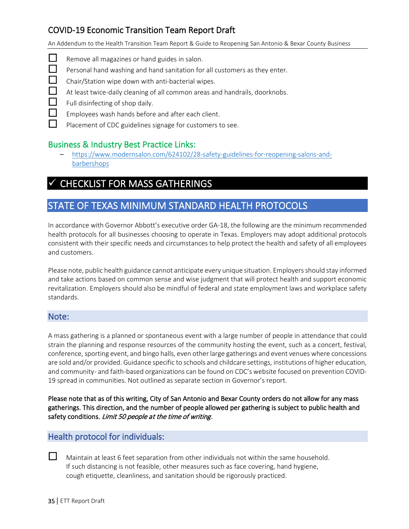An Addendum to the Health Transition Team Report & Guide to Reopening San Antonio & Bexar County Business

- 
- $\Box$  Remove all magazines or hand guides in salon.
- $\Box$  Personal hand washing and hand sanitation for all customers as they enter.
- $\Box$  Chair/Station wipe down with anti-bacterial wipes.
- $\Box$  At least twice-daily cleaning of all common areas and handrails, doorknobs.<br> $\Box$  Full disinfecting of shon daily.
	- Full disinfecting of shop daily.
- $\Box$  Employees wash hands before and after each client.
- $\Box$  Placement of CDC guidelines signage for customers to see.

#### Business & Industry Best Practice Links:

– [https://www.modernsalon.com/624102/28-safety-guidelines-for-reopening-salons-and](https://www.modernsalon.com/624102/28-safety-guidelines-for-reopening-salons-and-barbershops)[barbershops](https://www.modernsalon.com/624102/28-safety-guidelines-for-reopening-salons-and-barbershops)

## <span id="page-35-0"></span> $\checkmark$  CHECKLIST FOR MASS GATHERINGS

## STATE OF TEXAS MINIMUM STANDARD HEALTH PROTOCOLS

In accordance with Governor Abbott's executive order GA-18, the following are the minimum recommended health protocols for all businesses choosing to operate in Texas. Employers may adopt additional protocols consistent with their specific needs and circumstances to help protect the health and safety of all employees and customers.

Please note, public health guidance cannot anticipate every unique situation. Employers should stay informed and take actions based on common sense and wise judgment that will protect health and support economic revitalization. Employers should also be mindful of federal and state employment laws and workplace safety standards.

#### Note:

A mass gathering is a planned or spontaneous event with a large number of people in attendance that could strain the planning and response resources of the community hosting the event, such as a concert, festival, conference, sporting event, and bingo halls, even other large gatherings and event venues where concessions are sold and/or provided. Guidance specific to schools and childcare settings, institutions of higher education, and community- and faith-based organizations can be found on CDC's website focused on prevention COVID-19 spread in communities. Not outlined as separate section in Governor's report.

Please note that as of this writing, City of San Antonio and Bexar County orders do not allow for any mass gatherings. This direction, and the number of people allowed per gathering is subject to public health and safety conditions. Limit 50 people at the time of writing.

### Health protocol for individuals:

 $\Box$  Maintain at least 6 feet separation from other individuals not within the same household. If such distancing is not feasible, other measures such as face covering, hand hygiene, cough etiquette, cleanliness, and sanitation should be rigorously practiced.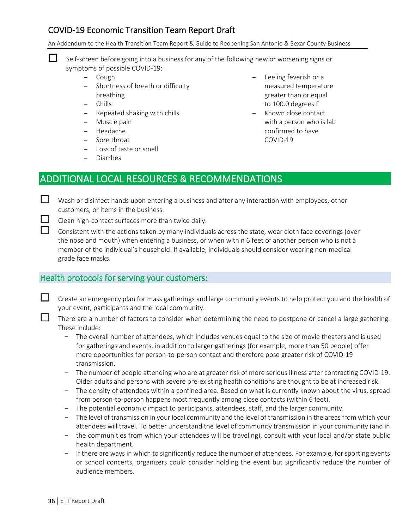An Addendum to the Health Transition Team Report & Guide to Reopening San Antonio & Bexar County Business

 $\Box$  Self-screen before going into a business for any of the following new or worsening signs or symptoms of possible COVID-19:

- Cough
- Shortness of breath or difficulty breathing
- Chills
- Repeated shaking with chills
- Muscle pain
- Headache
- Sore throat
- Loss of taste or smell
- Diarrhea
- Feeling feverish or a measured temperature greater than or equal to 100.0 degrees F
- Known close contact with a person who is lab confirmed to have COVID-19

## ADDITIONAL LOCAL RESOURCES & RECOMMENDATIONS

 $\Box$  Wash or disinfect hands upon entering a business and after any interaction with employees, other customers, or items in the business.

Clean high-contact surfaces more than twice daily.

 Consistent with the actions taken by many individuals across the state, wear cloth face coverings (over the nose and mouth) when entering a business, or when within 6 feet of another person who is not a member of the individual's household. If available, individuals should consider wearing non-medical grade face masks.

#### Health protocols for serving your customers:

 $\Box$  Create an emergency plan for mass gatherings and large community events to help protect you and the health of your event, participants and the local community.

 There are a number of factors to consider when determining the need to postpone or cancel a large gathering. These include:

- **-** The overall number of attendees, which includes venues equal to the size of movie theaters and is used for gatherings and events, in addition to larger gatherings (for example, more than 50 people) offer more opportunities for person-to-person contact and therefore pose greater risk of COVID-19 transmission.
- The number of people attending who are at greater risk of more serious illness after contracting COVID-19. Older adults and persons with severe pre-existing health conditions are thought to be at increased risk.
- The density of attendees within a confined area. Based on what is currently known about the virus, spread from person-to-person happens most frequently among close contacts (within 6 feet).
- The potential economic impact to participants, attendees, staff, and the larger community.
- The level of transmission in your local community and the level of transmission in the areas from which your attendees will travel. To better understand the level of community transmission in your community (and in
- the communities from which your attendees will be traveling), consult with your local and/or state public health department.
- If there are ways in which to significantly reduce the number of attendees. For example, for sporting events or school concerts, organizers could consider holding the event but significantly reduce the number of audience members.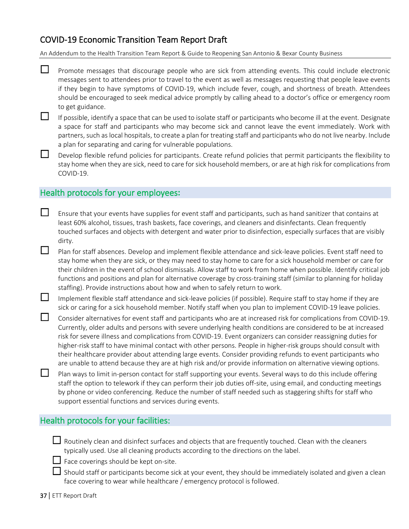An Addendum to the Health Transition Team Report & Guide to Reopening San Antonio & Bexar County Business



staffing). Provide instructions about how and when to safely return to work.

 $\Box$  Implement flexible staff attendance and sick-leave policies (if possible). Require staff to stay home if they are sick or caring for a sick household member. Notify staff when you plan to implement COVID-19 leave policies.

 $\Box$  Consider alternatives for event staff and participants who are at increased risk for complications from COVID-19. Currently, older adults and persons with severe underlying health conditions are considered to be at increased risk for severe illness and complications from COVID-19. Event organizers can consider reassigning duties for higher-risk staff to have minimal contact with other persons. People in higher-risk groups should consult with their healthcare provider about attending large events. Consider providing refunds to event participants who are unable to attend because they are at high risk and/or provide information on alternative viewing options.

 $\Box$  Plan ways to limit in-person contact for staff supporting your events. Several ways to do this include offering staff the option to telework if they can perform their job duties off-site, using email, and conducting meetings by phone or video conferencing. Reduce the number of staff needed such as staggering shifts for staff who support essential functions and services during events.

### Health protocols for your facilities:

 $\Box$  Routinely clean and disinfect surfaces and objects that are frequently touched. Clean with the cleaners typically used. Use all cleaning products according to the directions on the label.

 $\Box$  Face coverings should be kept on-site.

Should staff or participants become sick at your event, they should be immediately isolated and given a clean face covering to wear while healthcare / emergency protocol is followed.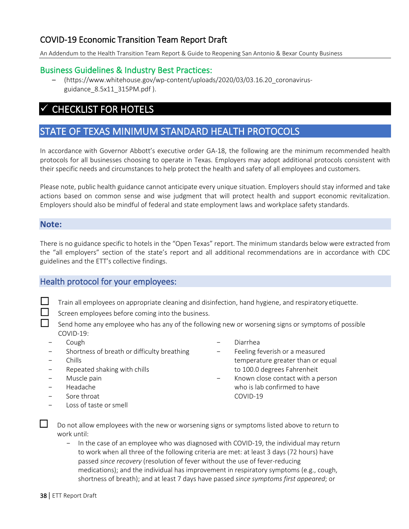An Addendum to the Health Transition Team Report & Guide to Reopening San Antonio & Bexar County Business

#### Business Guidelines & Industry Best Practices:

– (https://www.whitehouse.gov/wp-content/uploads/2020/03/03.16.20\_coronavirusguidance 8.5x11 315PM.pdf ).

## <span id="page-38-0"></span> $\checkmark$  CHECKLIST FOR HOTELS

### STATE OF TEXAS MINIMUM STANDARD HEALTH PROTOCOLS

In accordance with Governor Abbott's executive order GA-18, the following are the minimum recommended health protocols for all businesses choosing to operate in Texas. Employers may adopt additional protocols consistent with their specific needs and circumstances to help protect the health and safety of all employees and customers.

Please note, public health guidance cannot anticipate every unique situation. Employers should stay informed and take actions based on common sense and wise judgment that will protect health and support economic revitalization. Employers should also be mindful of federal and state employment laws and workplace safety standards.

#### **Note:**

There is no guidance specific to hotels in the "Open Texas" report. The minimum standards below were extracted from the "all employers" section of the state's report and all additional recommendations are in accordance with CDC guidelines and the ETT's collective findings.

#### Health protocol for your employees:

 $\Box$  Train all employees on appropriate cleaning and disinfection, hand hygiene, and respiratory etiquette.

Screen employees before coming into the business.

 Send home any employee who has any of the following new or worsening signs or symptoms of possible COVID-19:

- Cough
- Shortness of breath or difficulty breathing
- Chills
- Repeated shaking with chills
- Muscle pain
- Headache
- Sore throat
- Loss of taste or smell
- Diarrhea
	- Feeling feverish or a measured temperature greater than or equal to 100.0 degrees Fahrenheit
- Known close contact with a person who is lab confirmed to have COVID-19
- Do not allow employees with the new or worsening signs or symptoms listed above to return to work until:
	- In the case of an employee who was diagnosed with COVID-19, the individual may return to work when all three of the following criteria are met: at least 3 days (72 hours) have passed *since recovery* (resolution of fever without the use of fever-reducing medications); and the individual has improvement in respiratory symptoms (e.g., cough, shortness of breath); and at least 7 days have passed *since symptoms first appeared*; or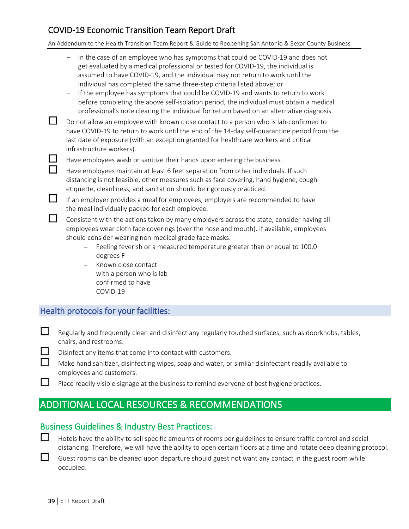An Addendum to the Health Transition Team Report & Guide to Reopening San Antonio & Bexar County Business

- In the case of an employee who has symptoms that could be COVID-19 and does not get evaluated by a medical professional or tested for COVID-19, the individual is assumed to have COVID-19, and the individual may not return to work until the individual has completed the same three-step criteria listed above; or
- If the employee has symptoms that could be COVID-19 and wants to return to work before completing the above self-isolation period, the individual must obtain a medical professional's note clearing the individual for return based on an alternative diagnosis.
- $\Box$  Do not allow an employee with known close contact to a person who is lab-confirmed to have COVID-19 to return to work until the end of the 14-day self-quarantine period from the last date of exposure (with an exception granted for healthcare workers and critical infrastructure workers).

 $\Box$  Have employees wash or sanitize their hands upon entering the business.

- $\Box$  Have employees maintain at least 6 feet separation from other individuals. If such distancing is not feasible, other measures such as face covering, hand hygiene, cough etiquette, cleanliness, and sanitation should be rigorously practiced.
- $\Box$  If an employer provides a meal for employees, employers are recommended to have the meal individually packed for each employee.

 $\Box$  Consistent with the actions taken by many employers across the state, consider having all employees wear cloth face coverings (over the nose and mouth). If available, employees should consider wearing non-medical grade face masks.

- Feeling feverish or a measured temperature greater than or equal to 100.0 degrees F
- Known close contact with a person who is lab confirmed to have COVID-19

#### Health protocols for your facilities:

- $\Box$  Regularly and frequently clean and disinfect any regularly touched surfaces, such as doorknobs, tables, chairs, and restrooms.
- $\Box$  Disinfect any items that come into contact with customers.
	- Make hand sanitizer, disinfecting wipes, soap and water, or similar disinfectant readily available to employees and customers.
- $\Box$  Place readily visible signage at the business to remind everyone of best hygiene practices.

## ADDITIONAL LOCAL RESOURCES & RECOMMENDATIONS

#### Business Guidelines & Industry Best Practices:

Hotels have the ability to sell specific amounts of rooms per guidelines to ensure traffic control and social distancing. Therefore, we will have the ability to open certain floors at a time and rotate deep cleaning protocol.

 $\Box$  Guest rooms can be cleaned upon departure should guest not want any contact in the guest room while occupied.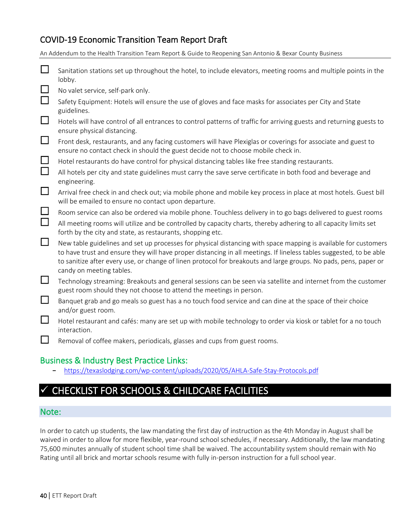An Addendum to the Health Transition Team Report & Guide to Reopening San Antonio & Bexar County Business

| $\Box$         | Sanitation stations set up throughout the hotel, to include elevators, meeting rooms and multiple points in the<br>lobby.                                                                                                                                                                                                                                                              |
|----------------|----------------------------------------------------------------------------------------------------------------------------------------------------------------------------------------------------------------------------------------------------------------------------------------------------------------------------------------------------------------------------------------|
| ப              | No valet service, self-park only.                                                                                                                                                                                                                                                                                                                                                      |
| $\Box$         | Safety Equipment: Hotels will ensure the use of gloves and face masks for associates per City and State<br>guidelines.                                                                                                                                                                                                                                                                 |
| $\Box$         | Hotels will have control of all entrances to control patterns of traffic for arriving guests and returning guests to<br>ensure physical distancing.                                                                                                                                                                                                                                    |
| $\Box$         | Front desk, restaurants, and any facing customers will have Plexiglas or coverings for associate and guest to<br>ensure no contact check in should the guest decide not to choose mobile check in.                                                                                                                                                                                     |
| $\Box$         | Hotel restaurants do have control for physical distancing tables like free standing restaurants.                                                                                                                                                                                                                                                                                       |
| $\Box$         | All hotels per city and state guidelines must carry the save serve certificate in both food and beverage and<br>engineering.                                                                                                                                                                                                                                                           |
| $\Box$         | Arrival free check in and check out; via mobile phone and mobile key process in place at most hotels. Guest bill<br>will be emailed to ensure no contact upon departure.                                                                                                                                                                                                               |
| ⊔              | Room service can also be ordered via mobile phone. Touchless delivery in to go bags delivered to guest rooms                                                                                                                                                                                                                                                                           |
| $\Box$         | All meeting rooms will utilize and be controlled by capacity charts, thereby adhering to all capacity limits set<br>forth by the city and state, as restaurants, shopping etc.                                                                                                                                                                                                         |
| $\Box$         | New table guidelines and set up processes for physical distancing with space mapping is available for customers<br>to have trust and ensure they will have proper distancing in all meetings. If lineless tables suggested, to be able<br>to sanitize after every use, or change of linen protocol for breakouts and large groups. No pads, pens, paper or<br>candy on meeting tables. |
| $\perp$        | Technology streaming: Breakouts and general sessions can be seen via satellite and internet from the customer<br>guest room should they not choose to attend the meetings in person.                                                                                                                                                                                                   |
| $\mathbb{R}^n$ | Banquet grab and go meals so guest has a no touch food service and can dine at the space of their choice<br>and/or guest room.                                                                                                                                                                                                                                                         |
| $\Box$         | Hotel restaurant and cafés: many are set up with mobile technology to order via kiosk or tablet for a no touch<br>interaction.                                                                                                                                                                                                                                                         |
| ΙI             | Removal of coffee makers, periodicals, glasses and cups from guest rooms.                                                                                                                                                                                                                                                                                                              |

#### Business & Industry Best Practice Links:

**-** <https://texaslodging.com/wp-content/uploads/2020/05/AHLA-Safe-Stay-Protocols.pdf>

## <span id="page-40-0"></span>CHECKLIST FOR SCHOOLS & CHILDCARE FACILITIES

#### Note:

In order to catch up students, the law mandating the first day of instruction as the 4th Monday in August shall be waived in order to allow for more flexible, year-round school schedules, if necessary. Additionally, the law mandating 75,600 minutes annually of student school time shall be waived. The accountability system should remain with No Rating until all brick and mortar schools resume with fully in-person instruction for a full school year.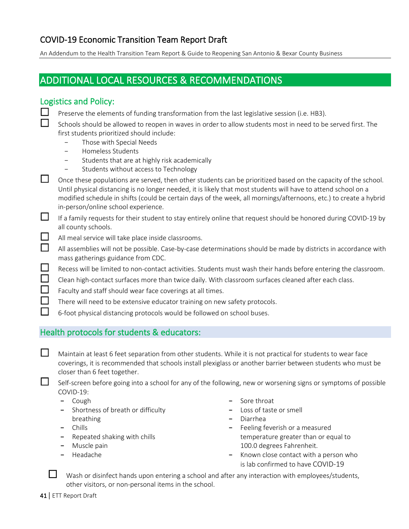An Addendum to the Health Transition Team Report & Guide to Reopening San Antonio & Bexar County Business

## ADDITIONAL LOCAL RESOURCES & RECOMMENDATIONS

#### Logistics and Policy:

|  | <b>Let</b> Preserve the elements of funding transformation from the last legislative session (i.e. HB3). |  |  |  |  |
|--|----------------------------------------------------------------------------------------------------------|--|--|--|--|
|--|----------------------------------------------------------------------------------------------------------|--|--|--|--|

 Schools should be allowed to reopen in waves in order to allow students most in need to be served first. The first students prioritized should include:

- Those with Special Needs
- Homeless Students
- Students that are at highly risk academically
- Students without access to Technology
- $\Box$  Once these populations are served, then other students can be prioritized based on the capacity of the school. Until physical distancing is no longer needed, it is likely that most students will have to attend school on a modified schedule in shifts (could be certain days of the week, all mornings/afternoons, etc.) to create a hybrid in-person/online school experience.
- If a family requests for their student to stay entirely online that request should be honored during COVID-19 by all county schools.
- $\Box$  All meal service will take place inside classrooms.
	- All assemblies will not be possible. Case-by-case determinations should be made by districts in accordance with mass gatherings guidance from CDC.
- $\Box$  Recess will be limited to non-contact activities. Students must wash their hands before entering the classroom.
- $\Box$  Clean high-contact surfaces more than twice daily. With classroom surfaces cleaned after each class.
- $\Box$  Faculty and staff should wear face coverings at all times.
- $\Box$  There will need to be extensive educator training on new safety protocols.
	- 6-foot physical distancing protocols would be followed on school buses.

#### Health protocols for students & educators:

 $\Box$  Maintain at least 6 feet separation from other students. While it is not practical for students to wear face coverings, it is recommended that schools install plexiglass or another barrier between students who must be closer than 6 feet together.

 $\Box$  Self-screen before going into a school for any of the following, new or worsening signs or symptoms of possible COVID-19:

- **-** Cough
- **-** Shortness of breath or difficulty breathing
- **-** Chills
- **-** Repeated shaking with chills
- **-** Muscle pain
- **-** Headache
- **-** Sore throat
- **-** Loss of taste or smell
- **-** Diarrhea
- **-** Feeling feverish or a measured temperature greater than or equal to 100.0 degrees Fahrenheit.
- **-** Known close contact with a person who is lab confirmed to have COVID-19

 $\Box$  Wash or disinfect hands upon entering a school and after any interaction with employees/students, other visitors, or non-personal items in the school.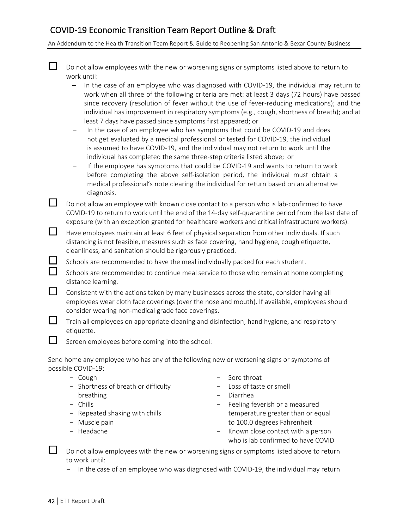An Addendum to the Health Transition Team Report & Guide to Reopening San Antonio & Bexar County Business

 $\Box$  Do not allow employees with the new or worsening signs or symptoms listed above to return to work until:

- In the case of an employee who was diagnosed with COVID-19, the individual may return to work when all three of the following criteria are met: at least 3 days (72 hours) have passed since recovery (resolution of fever without the use of fever-reducing medications); and the individual has improvement in respiratory symptoms (e.g., cough, shortness of breath); and at least 7 days have passed since symptoms first appeared; or
- In the case of an employee who has symptoms that could be COVID-19 and does not get evaluated by a medical professional or tested for COVID-19, the individual is assumed to have COVID-19, and the individual may not return to work until the individual has completed the same three-step criteria listed above; or
- If the employee has symptoms that could be COVID-19 and wants to return to work before completing the above self-isolation period, the individual must obtain a medical professional's note clearing the individual for return based on an alternative diagnosis.

 $\Box$  Do not allow an employee with known close contact to a person who is lab-confirmed to have COVID-19 to return to work until the end of the 14-day self-quarantine period from the last date of exposure (with an exception granted for healthcare workers and critical infrastructure workers).

 $\Box$  Have employees maintain at least 6 feet of physical separation from other individuals. If such distancing is not feasible, measures such as face covering, hand hygiene, cough etiquette, cleanliness, and sanitation should be rigorously practiced.

 $\Box$  Schools are recommended to have the meal individually packed for each student.

 $\square$  Schools are recommended to continue meal service to those who remain at home completing distance learning.

 $\Box$  Consistent with the actions taken by many businesses across the state, consider having all employees wear cloth face coverings (over the nose and mouth). If available, employees should consider wearing non-medical grade face coverings.

 $\Box$  Train all employees on appropriate cleaning and disinfection, hand hygiene, and respiratory etiquette.

 $\Box$  Screen employees before coming into the school:

Send home any employee who has any of the following new or worsening signs or symptoms of possible COVID-19:

- Cough
- Shortness of breath or difficulty breathing
- Chills
- Repeated shaking with chills
- Muscle pain
- Headache
- Sore throat
- Loss of taste or smell
- Diarrhea
- Feeling feverish or a measured temperature greater than or equal to 100.0 degrees Fahrenheit
- Known close contact with a person who is lab confirmed to have COVID

 $\Box$  Do not allow employees with the new or worsening signs or symptoms listed above to return to work until:

- In the case of an employee who was diagnosed with COVID-19, the individual may return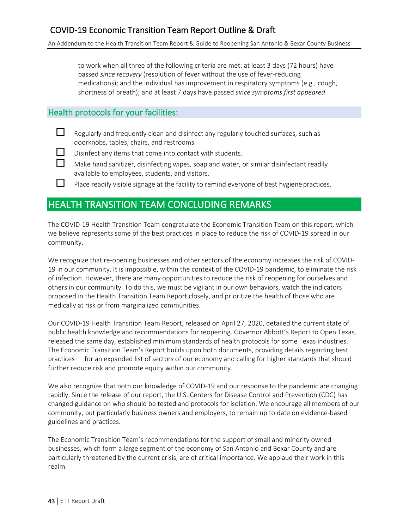An Addendum to the Health Transition Team Report & Guide to Reopening San Antonio & Bexar County Business

to work when all three of the following criteria are met: at least 3 days (72 hours) have passed *since recovery* (resolution of fever without the use of fever-reducing medications); and the individual has improvement in respiratory symptoms (e.g., cough, shortness of breath); and at least 7 days have passed *since symptoms first appeared*.

#### Health protocols for your facilities:

- $\Box$  Regularly and frequently clean and disinfect any regularly touched surfaces, such as doorknobs, tables, chairs, and restrooms.
- $\Box$  Disinfect any items that come into contact with students.



- $\Box$  Make hand sanitizer, disinfecting wipes, soap and water, or similar disinfectant readily available to employees, students, and visitors.
- $\Box$  Place readily visible signage at the facility to remind everyone of best hygiene practices.

### <span id="page-43-0"></span>HEALTH TRANSITION TEAM CONCLUDING REMARKS

The COVID-19 Health Transition Team congratulate the Economic Transition Team on this report, which we believe represents some of the best practices in place to reduce the risk of COVID-19 spread in our community.

We recognize that re-opening businesses and other sectors of the economy increases the risk of COVID-19 in our community. It is impossible, within the context of the COVID-19 pandemic, to eliminate the risk of infection. However, there are many opportunities to reduce the risk of reopening for ourselves and others in our community. To do this, we must be vigilant in our own behaviors, watch the indicators proposed in the Health Transition Team Report closely, and prioritize the health of those who are medically at risk or from marginalized communities.

Our COVID-19 Health Transition Team Report, released on April 27, 2020, detailed the current state of public health knowledge and recommendations for reopening. Governor Abbott's Report to Open Texas, released the same day, established minimum standards of health protocols for some Texas industries. The Economic Transition Team's Report builds upon both documents, providing details regarding best practices for an expanded list of sectors of our economy and calling for higher standards that should further reduce risk and promote equity within our community.

We also recognize that both our knowledge of COVID-19 and our response to the pandemic are changing rapidly. Since the release of our report, the U.S. Centers for Disease Control and Prevention (CDC) has changed guidance on who should be tested and protocols for isolation. We encourage all members of our community, but particularly business owners and employers, to remain up to date on evidence-based guidelines and practices.

The Economic Transition Team's recommendations for the support of small and minority owned businesses, which form a large segment of the economy of San Antonio and Bexar County and are particularly threatened by the current crisis, are of critical importance. We applaud their work in this realm.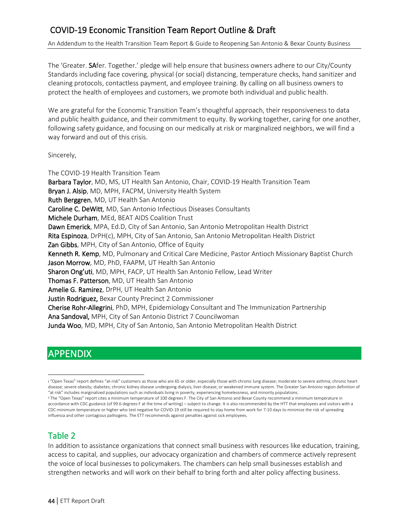An Addendum to the Health Transition Team Report & Guide to Reopening San Antonio & Bexar County Business

The 'Greater. SAfer. Together.' pledge will help ensure that business owners adhere to our City/County Standards including face covering, physical (or social) distancing, temperature checks, hand sanitizer and cleaning protocols, contactless payment, and employee training. By calling on all business owners to protect the health of employees and customers, we promote both individual and public health.

We are grateful for the Economic Transition Team's thoughtful approach, their responsiveness to data and public health guidance, and their commitment to equity. By working together, caring for one another, following safety guidance, and focusing on our medically at risk or marginalized neighbors, we will find a way forward and out of this crisis.

Sincerely,

The COVID-19 Health Transition Team Barbara Taylor, MD, MS, UT Health San Antonio, Chair, COVID-19 Health Transition Team Bryan J. Alsip, MD, MPH, FACPM, University Health System Ruth Berggren, MD, UT Health San Antonio Caroline C. DeWitt, MD, San Antonio Infectious Diseases Consultants Michele Durham, MEd, BEAT AIDS Coalition Trust Dawn Emerick, MPA, Ed.D, City of San Antonio, San Antonio Metropolitan Health District Rita Espinoza, DrPH(c), MPH, City of San Antonio, San Antonio Metropolitan Health District Zan Gibbs, MPH, City of San Antonio, Office of Equity Kenneth R. Kemp, MD, Pulmonary and Critical Care Medicine, Pastor Antioch Missionary Baptist Church Jason Morrow, MD, PhD, FAAPM, UT Health San Antonio Sharon Ong'uti, MD, MPH, FACP, UT Health San Antonio Fellow, Lead Writer Thomas F. Patterson, MD, UT Health San Antonio Amelie G. Ramirez, DrPH, UT Health San Antonio Justin Rodriguez, Bexar County Precinct 2 Commissioner Cherise Rohr-Allegrini, PhD, MPH, Epidemiology Consultant and The Immunization Partnership Ana Sandoval, MPH, City of San Antonio District 7 Councilwoman Junda Woo, MD, MPH, City of San Antonio, San Antonio Metropolitan Health District

### <span id="page-44-0"></span>APPENDIX

<span id="page-44-2"></span><span id="page-44-1"></span>i "Open Texas" report defines "at-risk" customers as those who are 65 or older, especially those with chronic lung disease; moderate to severe asthma; chronic heart disease; severe obesity; diabetes; chronic kidney disease undergoing dialysis; liver disease; or weakened immune system. The Greater San Antonio region definition of "at risk" includes marginalized populations such as individuals living in poverty, experiencing homelessness, and minority populations. ii The "Open Texas" report cites a minimum temperature of 100 degrees F. The City of San Antonio and Bexar County recommend a minimum temperature in accordance with CDC guidance (of 99.6 degrees F at the time of writing) – subject to change. It is also recommended by the HTT that employees and visitors with a CDC-minimum temperature or higher who test negative for COVID-19 still be required to stay home from work for 7-10 days to minimize the risk of spreading influenza and other contagious pathogens. The ETT recommends against penalties against sick employees.

#### Table 2

In addition to assistance organizations that connect small business with resources like education, training, access to capital, and supplies, our advocacy organization and chambers of commerce actively represent the voice of local businesses to policymakers. The chambers can help small businesses establish and strengthen networks and will work on their behalf to bring forth and alter policy affecting business.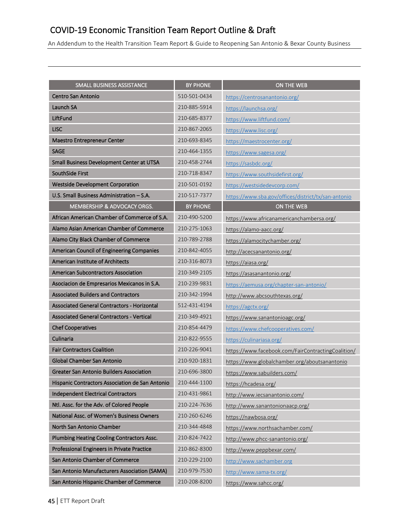An Addendum to the Health Transition Team Report & Guide to Reopening San Antonio & Bexar County Business

| SMALL BUSINESS ASSISTANCE                          | <b>BY PHONE</b> | <b>ON THE WEB</b>                                   |
|----------------------------------------------------|-----------------|-----------------------------------------------------|
| <b>Centro San Antonio</b>                          | 510-501-0434    | https://centrosanantonio.org/                       |
| Launch SA                                          | 210-885-5914    | https://launchsa.org/                               |
| LiftFund                                           | 210-685-8377    | https://www.liftfund.com/                           |
| <b>LISC</b>                                        | 210-867-2065    | https://www.lisc.org/                               |
| Maestro Entrepreneur Center                        | 210-693-8345    | https://maestrocenter.org/                          |
| <b>SAGE</b>                                        | 210-464-1355    | https://www.sagesa.org/                             |
| Small Business Development Center at UTSA          | 210-458-2744    | https://sasbdc.org/                                 |
| SouthSide First                                    | 210-718-8347    | https://www.southsidefirst.org/                     |
| <b>Westside Development Corporation</b>            | 210-501-0192    | https://westsidedevcorp.com/                        |
| U.S. Small Business Administration - S.A.          | 210-517-7377    | https://www.sba.gov/offices/district/tx/san-antonio |
| MEMBERSHIP & ADVOCACY ORGS.                        | <b>BY PHONE</b> | <b>ON THE WEB</b>                                   |
| African American Chamber of Commerce of S.A.       | 210-490-5200    | https://www.africanamericanchambersa.org/           |
| Alamo Asian American Chamber of Commerce           | 210-275-1063    | https://alamo-aacc.org/                             |
| Alamo City Black Chamber of Commerce               | 210-789-2788    | https://alamocitychamber.org/                       |
| American Council of Engineering Companies          | 210-842-4055    | http://acecsanantonio.org/                          |
| <b>American Institute of Architects</b>            | 210-316-8073    | https://aiasa.org/                                  |
| <b>American Subcontractors Association</b>         | 210-349-2105    | https://asasanantonio.org/                          |
| Asociacion de Empresarios Mexicanos in S.A.        | 210-239-9831    | https://aemusa.org/chapter-san-antonio/             |
| <b>Associated Builders and Contractors</b>         | 210-342-1994    | http://www.abcsouthtexas.org/                       |
| <b>Associated General Contractors - Horizontal</b> | 512-431-4194    | https://agctx.org/                                  |
| <b>Associated General Contractors - Vertical</b>   | 210-349-4921    | https://www.sanantonioagc.org/                      |
| <b>Chef Cooperatives</b>                           | 210-854-4479    | https://www.chefcooperatives.com/                   |
| Culinaria                                          | 210-822-9555    | https://culinariasa.org/                            |
| <b>Fair Contractors Coalition</b>                  | 210-226-9041    | https://www.facebook.com/FairContractingCoalition/  |
| Global Chamber San Antonio                         | 210-920-1831    | https://www.globalchamber.org/aboutsanantonio       |
| <b>Greater San Antonio Builders Association</b>    | 210-696-3800    | https://www.sabuilders.com/                         |
| Hispanic Contractors Association de San Antonio    | 210-444-1100    | https://hcadesa.org/                                |
| <b>Independent Electrical Contractors</b>          | 210-431-9861    | http://www.iecsanantonio.com/                       |
| Ntl. Assc. for the Adv. of Colored People          | 210-224-7636    | http://www.sanantonionaacp.org/                     |
| National Assc. of Women's Business Owners          | 210-260-6246    | https://nawbosa.org/                                |
| North San Antonio Chamber                          | 210-344-4848    | https://www.northsachamber.com/                     |
| Plumbing Heating Cooling Contractors Assc.         | 210-824-7422    | http://www.phcc-sanantonio.org/                     |
| Professional Engineers in Private Practice         | 210-862-8300    | http://www.peppbexar.com/                           |
| San Antonio Chamber of Commerce                    | 210-229-2100    | http://www.sachamber.org                            |
| San Antonio Manufacturers Association (SAMA)       | 210-979-7530    | http://www.sama-tx.org/                             |
| San Antonio Hispanic Chamber of Commerce           | 210-208-8200    | https://www.sahcc.org/                              |